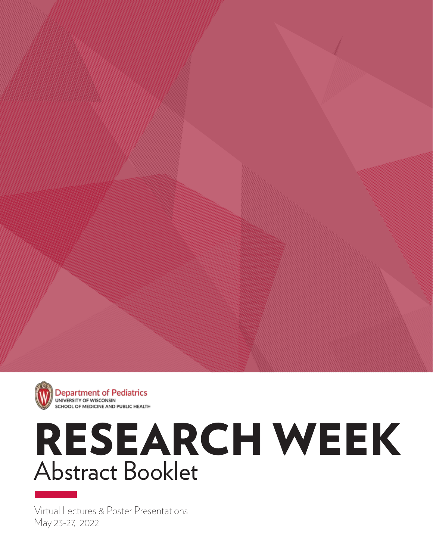

**Department of Pediatrics** UNIVERSITY OF WISCONSIN SCHOOL OF MEDICINE AND PUBLIC HEALTH

# Abstract Booklet RESEARCH WEEK

May 23-27, 2022 Virtual Lectures & Poster Presentations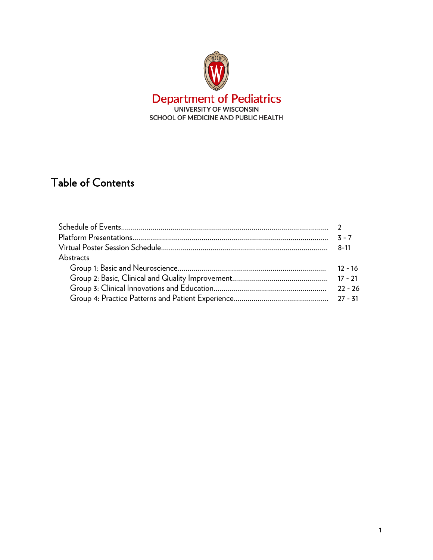

# Table of Contents

|           | $7 - 7$   |
|-----------|-----------|
|           | 8-11      |
| Abstracts |           |
|           | $12 - 16$ |
|           |           |
|           | $22 - 26$ |
|           |           |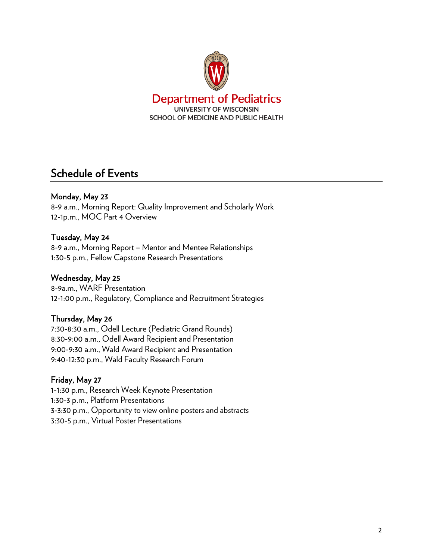

# Schedule of Events

# Monday, May 23

8-9 a.m., Morning Report: Quality Improvement and Scholarly Work 12-1p.m., MOC Part 4 Overview

# Tuesday, May 24

8-9 a.m., Morning Report – Mentor and Mentee Relationships 1:30-5 p.m., Fellow Capstone Research Presentations

## Wednesday, May 25

8-9a.m., WARF Presentation 12-1:00 p.m., Regulatory, Compliance and Recruitment Strategies

# Thursday, May 26

7:30-8:30 a.m., Odell Lecture (Pediatric Grand Rounds) 8:30-9:00 a.m., Odell Award Recipient and Presentation 9:00-9:30 a.m., Wald Award Recipient and Presentation 9:40-12:30 p.m., Wald Faculty Research Forum

### Friday, May 27

1-1:30 p.m., Research Week Keynote Presentation 1:30-3 p.m., Platform Presentations 3-3:30 p.m., Opportunity to view online posters and abstracts 3:30-5 p.m., Virtual Poster Presentations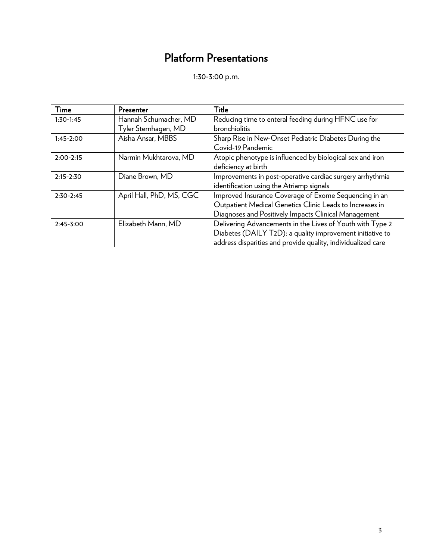# Platform Presentations

1:30-3:00 p.m.

| Time          | Presenter                | Title                                                        |
|---------------|--------------------------|--------------------------------------------------------------|
| $1:30-1:45$   | Hannah Schumacher, MD    | Reducing time to enteral feeding during HFNC use for         |
|               | Tyler Sternhagen, MD     | bronchiolitis                                                |
| $1:45-2:00$   | Aisha Ansar, MBBS        | Sharp Rise in New-Onset Pediatric Diabetes During the        |
|               |                          | Covid-19 Pandemic                                            |
| $2:00-2:15$   | Narmin Mukhtarova, MD    | Atopic phenotype is influenced by biological sex and iron    |
|               |                          | deficiency at birth                                          |
| $2:15 - 2:30$ | Diane Brown, MD          | Improvements in post-operative cardiac surgery arrhythmia    |
|               |                          | identification using the Atriamp signals                     |
| $2:30-2:45$   | April Hall, PhD, MS, CGC | Improved Insurance Coverage of Exome Sequencing in an        |
|               |                          | Outpatient Medical Genetics Clinic Leads to Increases in     |
|               |                          | Diagnoses and Positively Impacts Clinical Management         |
| $2:45-3:00$   | Elizabeth Mann, MD       | Delivering Advancements in the Lives of Youth with Type 2    |
|               |                          | Diabetes (DAILY T2D): a quality improvement initiative to    |
|               |                          | address disparities and provide quality, individualized care |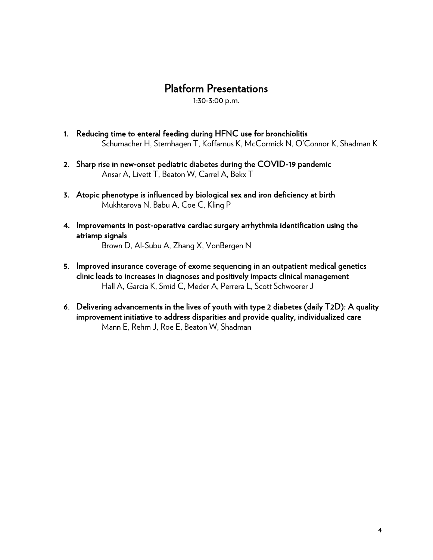# Platform Presentations<br>1:30-3:00 p.m.

- 1. Reducing time to enteral feeding during HFNC use for bronchiolitis Schumacher H, Sternhagen T, Koffarnus K, McCormick N, O'Connor K, Shadman K
- 2. Sharp rise in new-onset pediatric diabetes during the COVID-19 pandemic Ansar A, Livett T, Beaton W, Carrel A, Bekx T
- 3. Atopic phenotype is influenced by biological sex and iron deficiency at birth Mukhtarova N, Babu A, Coe C, Kling P
- 4. Improvements in post-operative cardiac surgery arrhythmia identification using the atriamp signals

Brown D, Al-Subu A, Zhang X, VonBergen N

- 5. Improved insurance coverage of exome sequencing in an outpatient medical genetics clinic leads to increases in diagnoses and positively impacts clinical management Hall A, Garcia K, Smid C, Meder A, Perrera L, Scott Schwoerer J
- 6. Delivering advancements in the lives of youth with type 2 diabetes (daily T2D): A quality improvement initiative to address disparities and provide quality, individualized care Mann E, Rehm J, Roe E, Beaton W, Shadman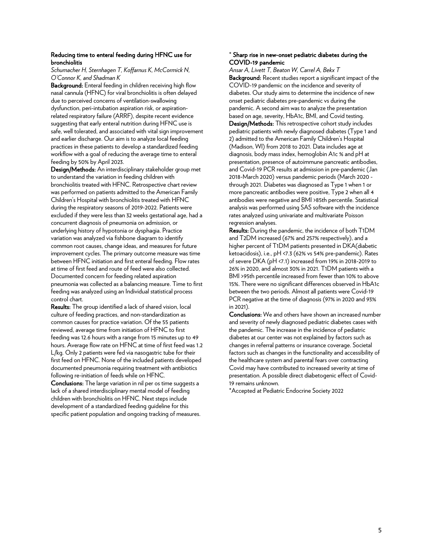#### Reducing time to enteral feeding during HFNC use for bronchiolitis

*Schumacher H, Sternhagen T, Koffarnus K, McCormick N, O'Connor K, and Shadman K*

Background: Enteral feeding in children receiving high flow nasal cannula (HFNC) for viral bronchiolitis is often delayed due to perceived concerns of ventilation-swallowing dysfunction, peri-intubation aspiration risk, or aspirationrelated respiratory failure (ARRF), despite recent evidence suggesting that early enteral nutrition during HFNC use is safe, well tolerated, and associated with vital sign improvement and earlier discharge. Our aim is to analyze local feeding practices in these patients to develop a standardized feeding workflow with a goal of reducing the average time to enteral feeding by 50% by April 2023.

Design/Methods: An interdisciplinary stakeholder group met to understand the variation in feeding children with bronchiolitis treated with HFNC. Retrospective chart review was performed on patients admitted to the American Family Children's Hospital with bronchiolitis treated with HFNC during the respiratory seasons of 2019-2022. Patients were excluded if they were less than 32 weeks gestational age, had a concurrent diagnosis of pneumonia on admission, or underlying history of hypotonia or dysphagia. Practice variation was analyzed via fishbone diagram to identify common root causes, change ideas, and measures for future improvement cycles. The primary outcome measure was time between HFNC initiation and first enteral feeding. Flow rates at time of first feed and route of feed were also collected. Documented concern for feeding related aspiration pneumonia was collected as a balancing measure. Time to first feeding was analyzed using an Individual statistical process control chart.

Results: The group identified a lack of shared vision, local culture of feeding practices, and non-standardization as common causes for practice variation. Of the 55 patients reviewed, average time from initiation of HFNC to first feeding was 12.6 hours with a range from 15 minutes up to 49 hours. Average flow rate on HFNC at time of first feed was 1.2 L/kg. Only 2 patients were fed via nasogastric tube for their first feed on HFNC. None of the included patients developed documented pneumonia requiring treatment with antibiotics following re-initiation of feeds while on HFNC.

Conclusions: The large variation in nil per os time suggests a lack of a shared interdisciplinary mental model of feeding children with bronchiolitis on HFNC. Next steps include development of a standardized feeding guideline for this specific patient population and ongoing tracking of measures.

#### \* Sharp rise in new-onset pediatric diabetes during the COVID-19 pandemic

*Ansar A, Livett T, Beaton W, Carrel A, Bekx T* Background: Recent studies report a significant impact of the COVID-19 pandemic on the incidence and severity of diabetes. Our study aims to determine the incidence of new onset pediatric diabetes pre-pandemic vs during the pandemic. A second aim was to analyze the presentation based on age, severity, HbA1c, BMI, and Covid testing.

Design/Methods: This retrospective cohort study includes pediatric patients with newly diagnosed diabetes (Type 1 and 2) admitted to the American Family Children's Hospital (Madison, WI) from 2018 to 2021. Data includes age at diagnosis, body mass index, hemoglobin A1c % and pH at presentation, presence of autoimmune pancreatic antibodies, and Covid-19 PCR results at admission in pre-pandemic (Jan 2018-March 2020) versus pandemic periods (March 2020 through 2021. Diabetes was diagnosed as Type 1 when 1 or more pancreatic antibodies were positive, Type 2 when all 4 antibodies were negative and BMI >85th percentile. Statistical analysis was performed using SAS software with the incidence rates analyzed using univariate and multivariate Poisson regression analyses.

Results: During the pandemic, the incidence of both T1DM and T2DM increased (67% and 257% respectively), and a higher percent of T1DM patients presented in DKA(diabetic ketoacidosis), i.e., pH <7.3 (62% vs 54% pre-pandemic). Rates of severe DKA (pH <7.1) increased from 19% in 2018-2019 to 26% in 2020, and almost 30% in 2021. T1DM patients with a BMI >95th percentile increased from fewer than 10% to above 15%. There were no significant differences observed in HbA1c between the two periods. Almost all patients were Covid-19 PCR negative at the time of diagnosis (97% in 2020 and 93% in 2021).

Conclusions: We and others have shown an increased number and severity of newly diagnosed pediatric diabetes cases with the pandemic. The increase in the incidence of pediatric diabetes at our center was not explained by factors such as changes in referral patterns or insurance coverage. Societal factors such as changes in the functionality and accessibility of the healthcare system and parental fears over contracting Covid may have contributed to increased severity at time of presentation. A possible direct diabetogenic effect of Covid-19 remains unknown.

\*Accepted at Pediatric Endocrine Society 2022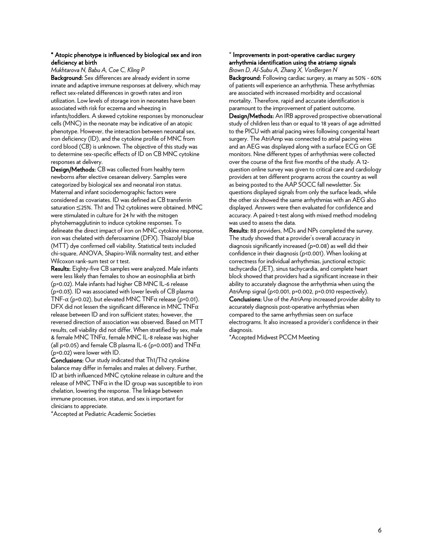#### \* Atopic phenotype is influenced by biological sex and iron deficiency at birth

#### *Mukhtarova N, Babu A, Coe C, Kling P*

Background: Sex differences are already evident in some innate and adaptive immune responses at delivery, which may reflect sex-related differences in growth rates and iron utilization. Low levels of storage iron in neonates have been associated with risk for eczema and wheezing in infants/toddlers. A skewed cytokine responses by mononuclear cells (MNC) in the neonate may be indicative of an atopic phenotype. However, the interaction between neonatal sex, iron deficiency (ID), and the cytokine profile of MNC from cord blood (CB) is unknown. The objective of this study was to determine sex-specific effects of ID on CB MNC cytokine responses at delivery.

Design/Methods: CB was collected from healthy term newborns after elective cesarean delivery. Samples were categorized by biological sex and neonatal iron status. Maternal and infant sociodemographic factors were considered as covariates. ID was defined as CB transferrin saturation ≤25%. Th1 and Th2 cytokines were obtained. MNC were stimulated in culture for 24 hr with the mitogen phytohemagglutinin to induce cytokine responses. To delineate the direct impact of iron on MNC cytokine response, iron was chelated with deferoxamine (DFX). Thiazolyl blue (MTT) dye confirmed cell viability. Statistical tests included chi-square, ANOVA, Shapiro-Wilk normality test, and either Wilcoxon rank-sum test or t test.

Results: Eighty-five CB samples were analyzed. Male infants were less likely than females to show an eosinophilia at birth (p=0.02). Male infants had higher CB MNC IL-6 release (p=0.03). ID was associated with lower levels of CB plasma TNF- $\alpha$  (p=0.02), but elevated MNC TNF $\alpha$  release (p=0.01). DFX did not lessen the significant difference in MNC TNF $\alpha$ release between ID and iron sufficient states; however, the reversed direction of association was observed. Based on MTT results, cell viability did not differ. When stratified by sex, male & female MNC TNFα, female MNC IL-8 release was higher (all p<0.05) and female CB plasma IL-6 (p=0.003) and  $TNF\alpha$ (p=0.02) were lower with ID.

Conclusions: Our study indicated that Th1/Th2 cytokine balance may differ in females and males at delivery. Further, ID at birth influenced MNC cytokine release in culture and the release of MNC TNF $\alpha$  in the ID group was susceptible to iron chelation, lowering the response. The linkage between immune processes, iron status, and sex is important for clinicians to appreciate.

\*Accepted at Pediatric Academic Societies

#### \* Improvements in post-operative cardiac surgery arrhythmia identification using the atriamp signals

*Brown D, Al-Subu A, Zhang X, VonBergen N*

Background: Following cardiac surgery, as many as 50% - 60% of patients will experience an arrhythmia. These arrhythmias are associated with increased morbidity and occasional mortality. Therefore, rapid and accurate identification is paramount to the improvement of patient outcome.

Design/Methods: An IRB approved prospective observational study of children less than or equal to 18 years of age admitted to the PICU with atrial pacing wires following congenital heart surgery. The AtriAmp was connected to atrial pacing wires and an AEG was displayed along with a surface ECG on GE monitors. Nine different types of arrhythmias were collected over the course of the first five months of the study. A 12 question online survey was given to critical care and cardiology providers at ten different programs across the country as well as being posted to the AAP SOCC fall newsletter. Six questions displayed signals from only the surface leads, while the other six showed the same arrhythmias with an AEG also displayed. Answers were then evaluated for confidence and accuracy. A paired t-test along with mixed method modeling was used to assess the data.

Results: 88 providers, MDs and NPs completed the survey. The study showed that a provider's overall accuracy in diagnosis significantly increased (p=0.08) as well did their confidence in their diagnosis (p<0.001). When looking at correctness for individual arrhythmias, junctional ectopic tachycardia (JET), sinus tachycardia, and complete heart block showed that providers had a significant increase in their ability to accurately diagnose the arrhythmia when using the AtriAmp signal (p<0.001, p=0.002, p=0.010 respectively). Conclusions: Use of the AtriAmp increased provider ability to accurately diagnosis post-operative arrhythmias when compared to the same arrhythmias seen on surface electrograms. It also increased a provider's confidence in their diagnosis.

\*Accepted Midwest PCCM Meeting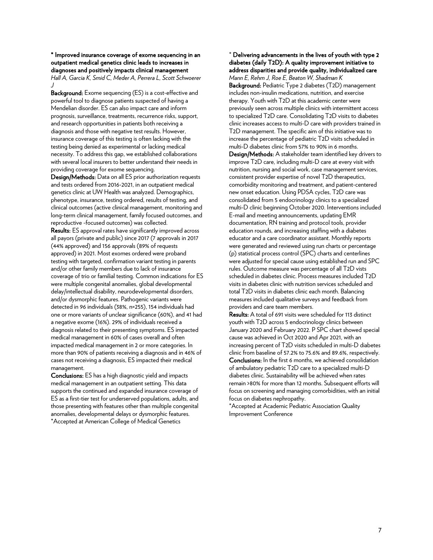\* Improved insurance coverage of exome sequencing in an outpatient medical genetics clinic leads to increases in diagnoses and positively impacts clinical management *Hall A, Garcia K, Smid C, Meder A, Perrera L, Scott Schwoerer J*

Background: Exome sequencing (ES) is a cost-effective and powerful tool to diagnose patients suspected of having a Mendelian disorder. ES can also impact care and inform prognosis, surveillance, treatments, recurrence risks, support, and research opportunities in patients both receiving a diagnosis and those with negative test results. However, insurance coverage of this testing is often lacking with the testing being denied as experimental or lacking medical necessity. To address this gap, we established collaborations with several local insurers to better understand their needs in providing coverage for exome sequencing.

Design/Methods: Data on all ES prior authorization requests and tests ordered from 2016-2021, in an outpatient medical genetics clinic at UW Health was analyzed. Demographics, phenotype, insurance, testing ordered, results of testing, and clinical outcomes (active clinical management, monitoring and long-term clinical management, family focused outcomes, and reproductive -focused outcomes) was collected.

Results: ES approval rates have significantly improved across all payors (private and public) since 2017 (7 approvals in 2017 (44% approved) and 156 approvals (89% of requests approved) in 2021. Most exomes ordered were proband testing with targeted, confirmation variant testing in parents and/or other family members due to lack of insurance coverage of trio or familial testing. Common indications for ES were multiple congenital anomalies, global developmental delay/intellectual disability, neurodevelopmental disorders, and/or dysmorphic features. Pathogenic variants were detected in 96 individuals (38%, n=255), 154 individuals had one or more variants of unclear significance (60%), and 41 had a negative exome (16%). 29% of individuals received a diagnosis related to their presenting symptoms. ES impacted medical management in 60% of cases overall and often impacted medical management in 2 or more categories. In more than 90% of patients receiving a diagnosis and in 46% of cases not receiving a diagnosis, ES impacted their medical management.

Conclusions: ES has a high diagnostic yield and impacts medical management in an outpatient setting. This data supports the continued and expanded insurance coverage of ES as a first-tier test for underserved populations, adults, and those presenting with features other than multiple congenital anomalies, developmental delays or dysmorphic features. \*Accepted at American College of Medical Genetics

\* Delivering advancements in the lives of youth with type 2 diabetes (daily T2D): A quality improvement initiative to address disparities and provide quality, individualized care

*Mann E, Rehm J, Roe E, Beaton W, Shadman K* Background: Pediatric Type 2 diabetes (T2D) management includes non-insulin medications, nutrition, and exercise therapy. Youth with T2D at this academic center were previously seen across multiple clinics with intermittent access to specialized T2D care. Consolidating T2D visits to diabetes clinic increases access to multi-D care with providers trained in T2D management. The specific aim of this initiative was to increase the percentage of pediatric T2D visits scheduled in multi-D diabetes clinic from 57% to 90% in 6 months.

Design/Methods: A stakeholder team identified key drivers to improve T2D care, including multi-D care at every visit with nutrition, nursing and social work, case management services, consistent provider expertise of novel T2D therapeutics, comorbidity monitoring and treatment, and patient-centered new onset education. Using PDSA cycles, T2D care was consolidated from 5 endocrinology clinics to a specialized multi-D clinic beginning October 2020. Interventions included E-mail and meeting announcements, updating EMR documentation, RN training and protocol tools, provider education rounds, and increasing staffing with a diabetes educator and a care coordinator assistant. Monthly reports were generated and reviewed using run charts or percentage (p) statistical process control (SPC) charts and centerlines were adjusted for special cause using established run and SPC rules. Outcome measure was percentage of all T2D vists scheduled in diabetes clinic. Process measures included T2D visits in diabetes clinic with nutrition services scheduled and total T2D visits in diabetes clinic each month. Balancing measures included qualitative surveys and feedback from providers and care team members.

Results: A total of 691 visits were scheduled for 113 distinct youth with T2D across 5 endocrinology clinics between January 2020 and February 2022. P SPC chart showed special cause was achieved in Oct 2020 and Apr 2021, with an increasing percent of T2D visits scheduled in multi-D diabetes clinic from baseline of 57.2% to 75.6% and 89.6%, respectively. Conclusions: In the first 6 months, we achieved consolidation of ambulatory pediatric T2D care to a specialized multi-D diabetes clinic. Sustainability will be achieved when rates remain >80% for more than 12 months. Subsequent efforts will focus on screening and managing comorbidities, with an initial focus on diabetes nephropathy.

\*Accepted at Academic Pediatric Association Quality Improvement Conference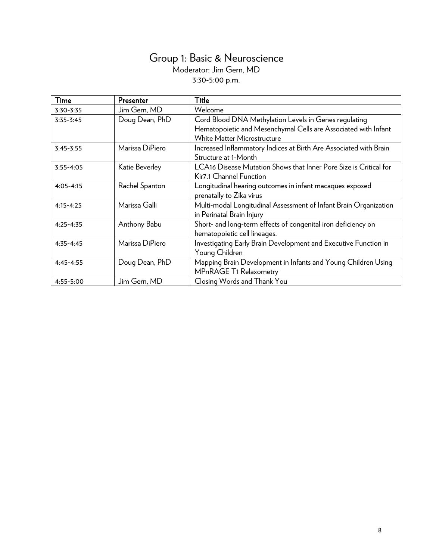# Group 1: Basic & Neuroscience Moderator: Jim Gern, MD 3:30-5:00 p.m.

| Time          | Presenter       | Title                                                             |
|---------------|-----------------|-------------------------------------------------------------------|
| 3:30-3:35     | Jim Gern, MD    | Welcome                                                           |
| $3:35-3:45$   | Doug Dean, PhD  | Cord Blood DNA Methylation Levels in Genes regulating             |
|               |                 | Hematopoietic and Mesenchymal Cells are Associated with Infant    |
|               |                 | <b>White Matter Microstructure</b>                                |
| $3:45 - 3:55$ | Marissa DiPiero | Increased Inflammatory Indices at Birth Are Associated with Brain |
|               |                 | Structure at 1-Month                                              |
| $3:55 - 4:05$ | Katie Beverley  | LCA16 Disease Mutation Shows that Inner Pore Size is Critical for |
|               |                 | Kir7.1 Channel Function                                           |
| $4:05 - 4:15$ | Rachel Spanton  | Longitudinal hearing outcomes in infant macaques exposed          |
|               |                 | prenatally to Zika virus                                          |
| $4:15 - 4:25$ | Marissa Galli   | Multi-modal Longitudinal Assessment of Infant Brain Organization  |
|               |                 | in Perinatal Brain Injury                                         |
| $4:25 - 4:35$ | Anthony Babu    | Short- and long-term effects of congenital iron deficiency on     |
|               |                 | hematopoietic cell lineages.                                      |
| $4:35 - 4:45$ | Marissa DiPiero | Investigating Early Brain Development and Executive Function in   |
|               |                 | Young Children                                                    |
| $4:45 - 4:55$ | Doug Dean, PhD  | Mapping Brain Development in Infants and Young Children Using     |
|               |                 | MPnRAGE T1 Relaxometry                                            |
| 4:55-5:00     | Jim Gern, MD    | Closing Words and Thank You                                       |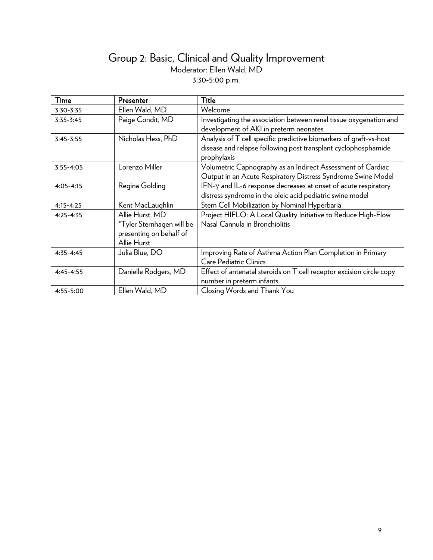# Group 2: Basic, Clinical and Quality Improvement Moderator: Ellen Wald, MD 3:30-5:00 p.m.

| Time          | Presenter                 | Title                                                                |
|---------------|---------------------------|----------------------------------------------------------------------|
| 3:30-3:35     | Ellen Wald, MD            | Welcome                                                              |
| $3:35-3:45$   | Paige Condit, MD          | Investigating the association between renal tissue oxygenation and   |
|               |                           | development of AKI in preterm neonates                               |
| $3:45 - 3:55$ | Nicholas Hess, PhD        | Analysis of T cell specific predictive biomarkers of graft-vs-host   |
|               |                           | disease and relapse following post transplant cyclophosphamide       |
|               |                           | prophylaxis                                                          |
| $3:55 - 4:05$ | Lorenzo Miller            | Volumetric Capnography as an Indirect Assessment of Cardiac          |
|               |                           | Output in an Acute Respiratory Distress Syndrome Swine Model         |
| $4:05 - 4:15$ | Regina Golding            | IFN-y and IL-6 response decreases at onset of acute respiratory      |
|               |                           | distress syndrome in the oleic acid pediatric swine model            |
| $4:15 - 4:25$ | Kent MacLaughlin          | Stem Cell Mobilization by Nominal Hyperbaria                         |
| $4:25 - 4:35$ | Allie Hurst, MD           | Project HIFLO: A Local Quality Initiative to Reduce High-Flow        |
|               | *Tyler Sternhagen will be | Nasal Cannula in Bronchiolitis                                       |
|               | presenting on behalf of   |                                                                      |
|               | Allie Hurst               |                                                                      |
| $4:35 - 4:45$ | Julia Blue, DO            | Improving Rate of Asthma Action Plan Completion in Primary           |
|               |                           | <b>Care Pediatric Clinics</b>                                        |
| $4:45 - 4:55$ | Danielle Rodgers, MD      | Effect of antenatal steroids on T cell receptor excision circle copy |
|               |                           | number in preterm infants                                            |
| 4:55-5:00     | Ellen Wald, MD            | Closing Words and Thank You                                          |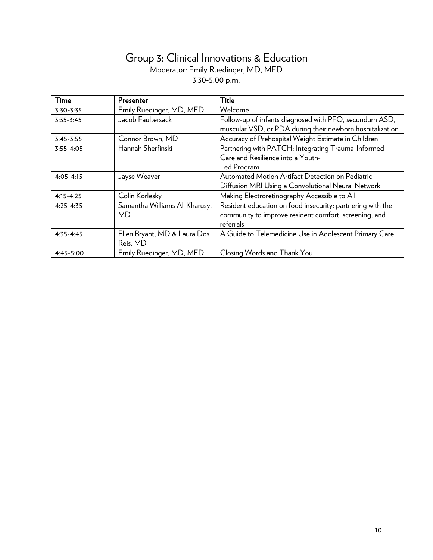# Group 3: Clinical Innovations & Education Moderator: Emily Ruedinger, MD, MED 3:30-5:00 p.m.

| Time          | Presenter                     | Title                                                      |
|---------------|-------------------------------|------------------------------------------------------------|
| 3:30-3:35     | Emily Ruedinger, MD, MED      | Welcome                                                    |
| $3:35-3:45$   | Jacob Faultersack             | Follow-up of infants diagnosed with PFO, secundum ASD,     |
|               |                               | muscular VSD, or PDA during their newborn hospitalization  |
| $3:45-3:55$   | Connor Brown, MD              | Accuracy of Prehospital Weight Estimate in Children        |
| $3:55 - 4:05$ | Hannah Sherfinski             | Partnering with PATCH: Integrating Trauma-Informed         |
|               |                               | Care and Resilience into a Youth-                          |
|               |                               | Led Program                                                |
| $4:05 - 4:15$ | Jayse Weaver                  | Automated Motion Artifact Detection on Pediatric           |
|               |                               | Diffusion MRI Using a Convolutional Neural Network         |
| $4:15 - 4:25$ | Colin Korlesky                | Making Electroretinography Accessible to All               |
| $4:25 - 4:35$ | Samantha Williams Al-Kharusy, | Resident education on food insecurity: partnering with the |
|               | МD                            | community to improve resident comfort, screening, and      |
|               |                               | referrals                                                  |
| $4:35 - 4:45$ | Ellen Bryant, MD & Laura Dos  | A Guide to Telemedicine Use in Adolescent Primary Care     |
|               | Reis, MD                      |                                                            |
| 4:45-5:00     | Emily Ruedinger, MD, MED      | Closing Words and Thank You                                |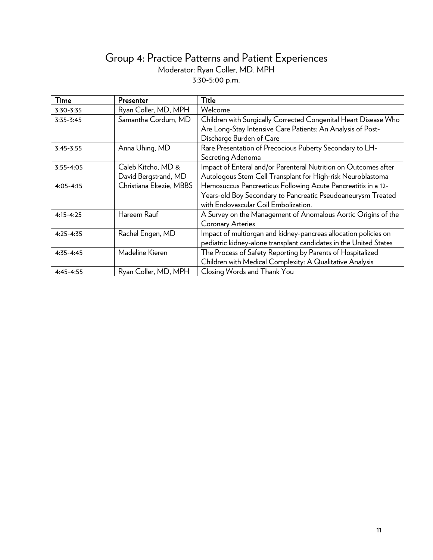# Group 4: Practice Patterns and Patient Experiences Moderator: Ryan Coller, MD. MPH 3:30-5:00 p.m.

| Time          | Presenter               | Title                                                             |
|---------------|-------------------------|-------------------------------------------------------------------|
| 3:30-3:35     | Ryan Coller, MD, MPH    | Welcome                                                           |
| $3:35-3:45$   | Samantha Cordum, MD     | Children with Surgically Corrected Congenital Heart Disease Who   |
|               |                         | Are Long-Stay Intensive Care Patients: An Analysis of Post-       |
|               |                         | Discharge Burden of Care                                          |
| $3:45 - 3:55$ | Anna Uhing, MD          | Rare Presentation of Precocious Puberty Secondary to LH-          |
|               |                         | Secreting Adenoma                                                 |
| $3:55 - 4:05$ | Caleb Kitcho, MD &      | Impact of Enteral and/or Parenteral Nutrition on Outcomes after   |
|               | David Bergstrand, MD    | Autologous Stem Cell Transplant for High-risk Neuroblastoma       |
| $4:05 - 4:15$ | Christiana Ekezie, MBBS | Hemosuccus Pancreaticus Following Acute Pancreatitis in a 12-     |
|               |                         | Years-old Boy Secondary to Pancreatic Pseudoaneurysm Treated      |
|               |                         | with Endovascular Coil Embolization.                              |
| $4:15 - 4:25$ | Hareem Rauf             | A Survey on the Management of Anomalous Aortic Origins of the     |
|               |                         | <b>Coronary Arteries</b>                                          |
| $4:25 - 4:35$ | Rachel Engen, MD        | Impact of multiorgan and kidney-pancreas allocation policies on   |
|               |                         | pediatric kidney-alone transplant candidates in the United States |
| $4:35 - 4:45$ | Madeline Kieren         | The Process of Safety Reporting by Parents of Hospitalized        |
|               |                         | Children with Medical Complexity: A Qualitative Analysis          |
| $4:45 - 4:55$ | Ryan Coller, MD, MPH    | Closing Words and Thank You                                       |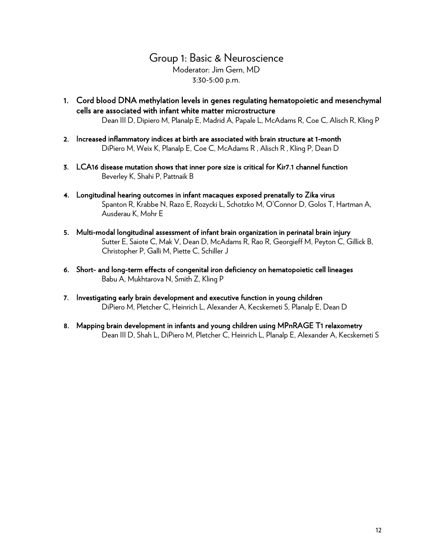Group 1: Basic & Neuroscience Moderator: Jim Gern, MD 3:30-5:00 p.m.

- 1. Cord blood DNA methylation levels in genes regulating hematopoietic and mesenchymal cells are associated with infant white matter microstructure Dean III D, Dipiero M, Planalp E, Madrid A, Papale L, McAdams R, Coe C, Alisch R, Kling P
- 2. Increased inflammatory indices at birth are associated with brain structure at 1-month DiPiero M, Weix K, Planalp E, Coe C, McAdams R , Alisch R , Kling P, Dean D
- 3. LCA16 disease mutation shows that inner pore size is critical for Kir7.1 channel function Beverley K, Shahi P, Pattnaik B
- 4. Longitudinal hearing outcomes in infant macaques exposed prenatally to Zika virus Spanton R, Krabbe N, Razo E, Rozycki L, Schotzko M, O'Connor D, Golos T, Hartman A, Ausderau K, Mohr E
- 5. Multi-modal longitudinal assessment of infant brain organization in perinatal brain injury Sutter E, Saiote C, Mak V, Dean D, McAdams R, Rao R, Georgieff M, Peyton C, Gillick B, Christopher P, Galli M, Piette C, Schiller J
- 6. Short- and long-term effects of congenital iron deficiency on hematopoietic cell lineages Babu A, Mukhtarova N, Smith Z, Kling P
- 7. Investigating early brain development and executive function in young children DiPiero M, Pletcher C, Heinrich L, Alexander A, Kecskemeti S, Planalp E, Dean D
- 8. Mapping brain development in infants and young children using MPnRAGE T1 relaxometry Dean III D, Shah L, DiPiero M, Pletcher C, Heinrich L, Planalp E, Alexander A, Kecskemeti S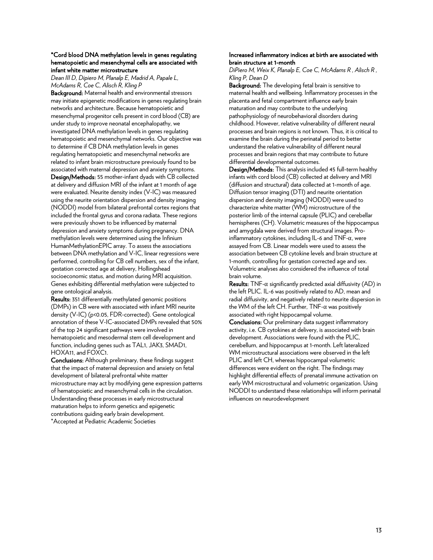#### \*Cord blood DNA methylation levels in genes regulating hematopoietic and mesenchymal cells are associated with infant white matter microstructure

*Dean III D, Dipiero M, Planalp E, Madrid A, Papale L, McAdams R, Coe C, Alisch R, Kling P*

Background: Maternal health and environmental stressors may initiate epigenetic modifications in genes regulating brain networks and architecture. Because hematopoietic and mesenchymal progenitor cells present in cord blood (CB) are under study to improve neonatal encephalopathy, we investigated DNA methylation levels in genes regulating hematopoietic and mesenchymal networks. Our objective was to determine if CB DNA methylation levels in genes regulating hematopoietic and mesenchymal networks are related to infant brain microstructure previously found to be associated with maternal depression and anxiety symptoms. Design/Methods: 55 mother-infant dyads with CB collected at delivery and diffusion MRI of the infant at 1 month of age were evaluated. Neurite density index (V-IC) was measured using the neurite orientation dispersion and density imaging (NODDI) model from bilateral prefrontal cortex regions that included the frontal gyrus and corona radiata. These regions were previously shown to be influenced by maternal depression and anxiety symptoms during pregnancy. DNA methylation levels were determined using the Infinium HumanMethylationEPIC array. To assess the associations between DNA methylation and V-IC, linear regressions were performed, controlling for CB cell numbers, sex of the infant, gestation corrected age at delivery, Hollingshead socioeconomic status, and motion during MRI acquisition. Genes exhibiting differential methylation were subjected to gene ontological analysis.

Results: 351 differentially methylated genomic positions (DMPs) in CB were with associated with infant MRI neurite density (V-IC) (p<0.05, FDR-corrected). Gene ontological annotation of these V-IC-associated DMPs revealed that 50% of the top 24 significant pathways were involved in hematopoietic and mesodermal stem cell development and function, including genes such as TAL1, JAK3, SMAD1, HOXA11, and FOXC1.

Conclusions: Although preliminary, these findings suggest that the impact of maternal depression and anxiety on fetal development of bilateral prefrontal white matter microstructure may act by modifying gene expression patterns of hematopoietic and mesenchymal cells in the circulation. Understanding these processes in early microstructural maturation helps to inform genetics and epigenetic contributions guiding early brain development. \*Accepted at Pediatric Academic Societies

#### Increased inflammatory indices at birth are associated with brain structure at 1-month

*DiPiero M, Weix K, Planalp E, Coe C, McAdams R , Alisch R , Kling P, Dean D*

Background: The developing fetal brain is sensitive to maternal health and wellbeing. Inflammatory processes in the placenta and fetal compartment influence early brain maturation and may contribute to the underlying pathophysiology of neurobehavioral disorders during childhood. However, relative vulnerability of different neural processes and brain regions is not known. Thus, it is critical to examine the brain during the perinatal period to better understand the relative vulnerability of different neural processes and brain regions that may contribute to future differential developmental outcomes.

Design/Methods: This analysis included 45 full-term healthy infants with cord blood (CB) collected at delivery and MRI (diffusion and structural) data collected at 1-month of age. Diffusion tensor imaging (DTI) and neurite orientation dispersion and density imaging (NODDI) were used to characterize white matter (WM) microstructure of the posterior limb of the internal capsule (PLIC) and cerebellar hemispheres (CH). Volumetric measures of the hippocampus and amygdala were derived from structural images. Proinflammatory cytokines, including IL-6 and TNF-α, were assayed from CB. Linear models were used to assess the association between CB cytokine levels and brain structure at 1-month, controlling for gestation corrected age and sex. Volumetric analyses also considered the influence of total brain volume.

Results: TNF- $\alpha$  significantly predicted axial diffusivity (AD) in the left PLIC. IL-6 was positively related to AD, mean and radial diffusivity, and negatively related to neurite dispersion in the WM of the left CH. Further, TNF-α was positively associated with right hippocampal volume.

Conclusions: Our preliminary data suggest inflammatory activity, i.e. CB cytokines at delivery, is associated with brain development. Associations were found with the PLIC, cerebellum, and hippocampus at 1-month. Left lateralized WM microstructural associations were observed in the left PLIC and left CH, whereas hippocampal volumetric differences were evident on the right. The findings may highlight differential effects of prenatal immune activation on early WM microstructural and volumetric organization. Using NODDI to understand these relationships will inform perinatal influences on neurodevelopment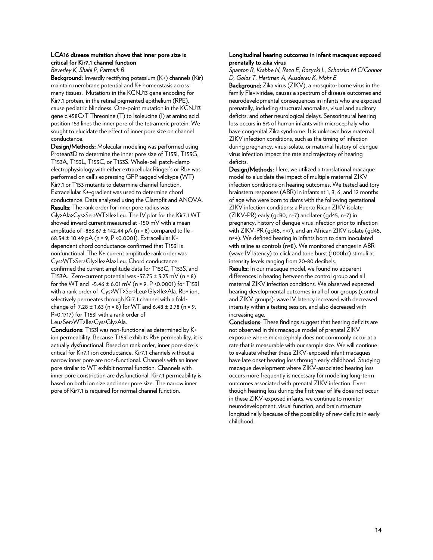#### LCA16 disease mutation shows that inner pore size is critical for Kir7.1 channel function

*Beverley K, Shahi P, Pattnaik B*

Background: Inwardly rectifying potassium (K+) channels (Kir) maintain membrane potential and K+ homeostasis across many tissues. Mutations in the KCNJ13 gene encoding for Kir7.1 protein, in the retinal pigmented epithelium (RPE), cause pediatric blindness. One-point mutation in the KCNJ13 gene c.458C>T Threonine (T) to Isoleucine (I) at amino acid position 153 lines the inner pore of the tetrameric protein. We sought to elucidate the effect of inner pore size on channel conductance.

Design/Methods: Molecular modeling was performed using Protean3D to determine the inner pore size of T153I, T153G, T153A, T153L, T153C, or T153S. Whole-cell patch-clamp electrophysiology with either extracellular Ringer's or Rb+ was performed on cell's expressing GFP tagged wildtype (WT) Kir7.1 or T153 mutants to determine channel function. Extracellular K+-gradient was used to determine chord conductance. Data analyzed using the Clampfit and ANOVA. Results: The rank order for inner pore radius was Gly>Ala>Cys>Ser>WT>Ile>Leu. The IV plot for the Kir7.1 WT showed inward current measured at -150 mV with a mean amplitude of -863.67  $\pm$  142.44 pA (n = 8) compared to lle -68.54 ± 10.49 pA (n = 9, P <0.0001). Extracellular K+ dependent chord conductance confirmed that T153I is nonfunctional. The K+ current amplitude rank order was Cys>WT>Ser>Gly>Ile>Ala>Leu. Chord conductance confirmed the current amplitude data for T153C, T153S, and T153A. Zero-current potential was -57.75  $\pm$  3.23 mV (n = 8) for the WT and  $-5.46 \pm 6.01$  mV (n = 9, P <0.0001) for T153l with a rank order of Cys>WT>Ser>Leu>Gly>Ile>Ala. Rb+ ion, selectively permeates through Kir7.1 channel with a foldchange of  $7.28 \pm 1.63$  (n = 8) for WT and  $6.48 \pm 2.78$  (n = 9, P=0.1717) for T153I with a rank order of Leu>Ser>WT>Ile>Cys>Gly>Ala.

Conclusions: T153I was non-functional as determined by K+ ion permeability. Because T153I exhibits Rb+ permeability, it is actually dysfunctional. Based on rank order, inner pore size is critical for Kir7.1 ion conductance. Kir7.1 channels without a narrow inner pore are non-functional. Channels with an inner pore similar to WT exhibit normal function. Channels with inner pore constriction are dysfunctional. Kir7.1 permeability is based on both ion size and inner pore size. The narrow inner pore of Kir7.1 is required for normal channel function.

#### Longitudinal hearing outcomes in infant macaques exposed prenatally to zika virus

*Spanton R, Krabbe N, Razo E, Rozycki L, Schotzko M O'Connor D, Golos T, Hartman A, Ausderau K, Mohr E*

Background: Zika virus (ZIKV), a mosquito-borne virus in the family Flaviviridae, causes a spectrum of disease outcomes and neurodevelopmental consequences in infants who are exposed prenatally, including structural anomalies, visual and auditory deficits, and other neurological delays. Sensorineural hearing loss occurs in 6% of human infants with microcephaly who have congenital Zika syndrome. It is unknown how maternal ZIKV infection conditions, such as the timing of infection during pregnancy, virus isolate, or maternal history of dengue virus infection impact the rate and trajectory of hearing deficits.

Design/Methods: Here, we utilized a translational macaque model to elucidate the impact of multiple maternal ZIKV infection conditions on hearing outcomes. We tested auditory brainstem responses (ABR) in infants at 1, 3, 6, and 12 months of age who were born to dams with the following gestational ZIKV infection conditions: a Puerto Rican ZIKV isolate (ZIKV-PR) early (gd30, n=7) and later (gd45, n=7) in pregnancy, history of dengue virus infection prior to infection with ZIKV-PR (gd45, n=7), and an African ZIKV isolate (gd45, n=4). We defined hearing in infants born to dam inoculated with saline as controls (n=8). We monitored changes in ABR (wave IV latency) to click and tone burst (1000hz) stimuli at intensity levels ranging from 20-80 decibels.

Results: In our macaque model, we found no apparent differences in hearing between the control group and all maternal ZIKV infection conditions. We observed expected hearing developmental outcomes in all of our groups (control and ZIKV groups): wave IV latency increased with decreased intensity within a testing session, and also decreased with increasing age.

Conclusions: These findings suggest that hearing deficits are not observed in this macaque model of prenatal ZIKV exposure where microcephaly does not commonly occur at a rate that is measurable with our sample size. We will continue to evaluate whether these ZIKV-exposed infant macaques have late onset hearing loss through early childhood. Studying macaque development where ZIKV-associated hearing loss occurs more frequently is necessary for modeling long-term outcomes associated with prenatal ZIKV infection. Even though hearing loss during the first year of life does not occur in these ZIKV-exposed infants, we continue to monitor neurodevelopment, visual function, and brain structure longitudinally because of the possibility of new deficits in early childhood.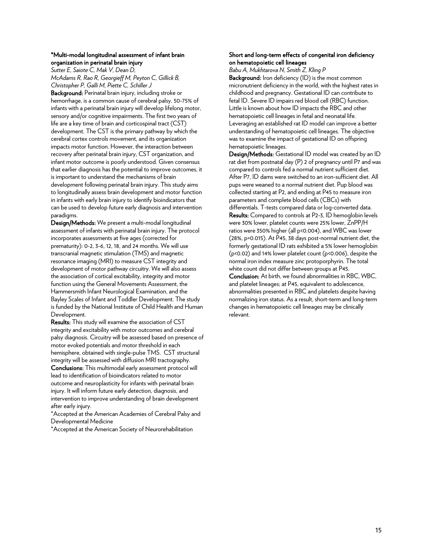#### \*Multi-modal longitudinal assessment of infant brain organization in perinatal brain injury

*Sutter E, Saiote C, Mak V, Dean D, McAdams R, Rao R, Georgieff M, Peyton C, Gillick B, Christopher P, Galli M, Piette C, Schiller J*

Background: Perinatal brain injury, including stroke or hemorrhage, is a common cause of cerebral palsy. 50-75% of infants with a perinatal brain injury will develop lifelong motor, sensory and/or cognitive impairments. The first two years of life are a key time of brain and corticospinal tract (CST) development. The CST is the primary pathway by which the cerebral cortex controls movement, and its organization impacts motor function. However, the interaction between recovery after perinatal brain injury, CST organization, and infant motor outcome is poorly understood. Given consensus that earlier diagnosis has the potential to improve outcomes, it is important to understand the mechanisms of brain development following perinatal brain injury. This study aims to longitudinally assess brain development and motor function in infants with early brain injury to identify bioindicators that can be used to develop future early diagnosis and intervention paradigms.

Design/Methods: We present a multi-modal longitudinal assessment of infants with perinatal brain injury. The protocol incorporates assessments at five ages (corrected for prematurity): 0-2, 3-6, 12, 18, and 24 months. We will use transcranial magnetic stimulation (TMS) and magnetic resonance imaging (MRI) to measure CST integrity and development of motor pathway circuitry. We will also assess the association of cortical excitability, integrity and motor function using the General Movements Assessment, the Hammersmith Infant Neurological Examination, and the Bayley Scales of Infant and Toddler Development. The study is funded by the National Institute of Child Health and Human Development.

Results: This study will examine the association of CST integrity and excitability with motor outcomes and cerebral palsy diagnosis. Circuitry will be assessed based on presence of motor evoked potentials and motor threshold in each hemisphere, obtained with single-pulse TMS. CST structural integrity will be assessed with diffusion MRI tractography. Conclusions: This multimodal early assessment protocol will lead to identification of bioindicators related to motor outcome and neuroplasticity for infants with perinatal brain injury. It will inform future early detection, diagnosis, and intervention to improve understanding of brain development after early injury.

\*Accepted at the American Academies of Cerebral Palsy and Developmental Medicine

\*Accepted at the American Society of Neurorehabilitation

#### Short and long-term effects of congenital iron deficiency on hematopoietic cell lineages

*Babu A, Mukhtarova N, Smith Z, Kling P*

Background: Iron deficiency (ID) is the most common micronutrient deficiency in the world, with the highest rates in childhood and pregnancy. Gestational ID can contribute to fetal ID. Severe ID impairs red blood cell (RBC) function. Little is known about how ID impacts the RBC and other hematopoietic cell lineages in fetal and neonatal life. Leveraging an established rat ID model can improve a better understanding of hematopoietic cell lineages. The objective was to examine the impact of gestational ID on offspring hematopoietic lineages.

Design/Methods: Gestational ID model was created by an ID rat diet from postnatal day (P) 2 of pregnancy until P7 and was compared to controls fed a normal nutrient sufficient diet. After P7, ID dams were switched to an iron-sufficient diet. All pups were weaned to a normal nutrient diet. Pup blood was collected starting at P2, and ending at P45 to measure iron parameters and complete blood cells (CBCs) with

differentials. T-tests compared data or log-converted data. Results: Compared to controls at P2-3, ID hemoglobin levels were 30% lower, platelet counts were 25% lower, ZnPP/H ratios were 350% higher (all p<0.004), and WBC was lower (28%, p=0.015). At P45, 38 days post-normal nutrient diet, the formerly gestational ID rats exhibited a 5% lower hemoglobin (p<0.02) and 14% lower platelet count (p<0.006), despite the normal iron index measure zinc protoporphyrin. The total white count did not differ between groups at P45. Conclusion: At birth, we found abnormalities in RBC, WBC, and platelet lineages; at P45, equivalent to adolescence, abnormalities presented in RBC and platelets despite having normalizing iron status. As a result, short-term and long-term changes in hematopoietic cell lineages may be clinically relevant.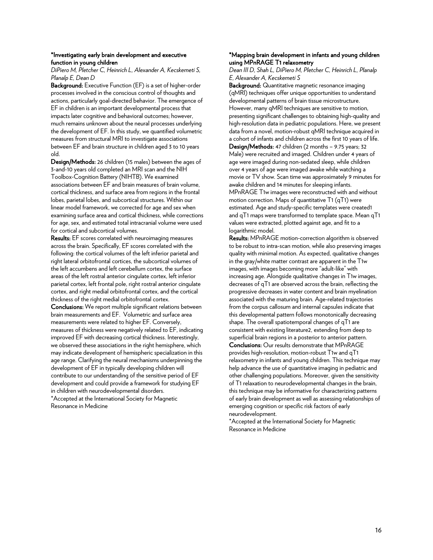#### \*Investigating early brain development and executive function in young children

*DiPiero M, Pletcher C, Heinrich L, Alexander A, Kecskemeti S, Planalp E, Dean D*

Background: Executive Function (EF) is a set of higher-order processes involved in the conscious control of thoughts and actions, particularly goal-directed behavior. The emergence of EF in children is an important developmental process that impacts later cognitive and behavioral outcomes; however, much remains unknown about the neural processes underlying the development of EF. In this study, we quantified volumetric measures from structural MRI to investigate associations between EF and brain structure in children aged 3 to 10 years old.

Design/Methods: 26 children (15 males) between the ages of 3-and-10 years old completed an MRI scan and the NIH Toolbox-Cognition Battery (NIHTB). We examined associations between EF and brain measures of brain volume, cortical thickness, and surface area from regions in the frontal lobes, parietal lobes, and subcortical structures. Within our linear model framework, we corrected for age and sex when examining surface area and cortical thickness, while corrections for age, sex, and estimated total intracranial volume were used for cortical and subcortical volumes.

Results: EF scores correlated with neuroimaging measures across the brain. Specifically, EF scores correlated with the following: the cortical volumes of the left inferior parietal and right lateral orbitofrontal cortices, the subcortical volumes of the left accumbens and left cerebellum cortex, the surface areas of the left rostral anterior cingulate cortex, left inferior parietal cortex, left frontal pole, right rostral anterior cingulate cortex, and right medial orbitofrontal cortex, and the cortical thickness of the right medial orbitofrontal cortex.

Conclusions: We report multiple significant relations between brain measurements and EF. Volumetric and surface area measurements were related to higher EF. Conversely, measures of thickness were negatively related to EF, indicating improved EF with decreasing cortical thickness. Interestingly, we observed these associations in the right hemisphere, which may indicate development of hemispheric specialization in this age range. Clarifying the neural mechanisms underpinning the development of EF in typically developing children will contribute to our understanding of the sensitive period of EF development and could provide a framework for studying EF in children with neurodevelopmental disorders.

\*Accepted at the International Society for Magnetic Resonance in Medicine

#### \*Mapping brain development in infants and young children using MPnRAGE T1 relaxometry

*Dean III D, Shah L, DiPiero M, Pletcher C, Heinrich L, Planalp E, Alexander A, Kecskemeti S*

Background: Quantitative magnetic resonance imaging (qMRI) techniques offer unique opportunities to understand developmental patterns of brain tissue microstructure. However, many qMRI techniques are sensitive to motion, presenting significant challenges to obtaining high-quality and high-resolution data in pediatric populations. Here, we present data from a novel, motion-robust qMRI technique acquired in a cohort of infants and children across the first 10 years of life. Design/Methods: 47 children (2 months – 9.75 years; 32 Male) were recruited and imaged. Children under 4 years of age were imaged during non-sedated sleep, while children over 4 years of age were imaged awake while watching a movie or TV show. Scan time was approximately 9 minutes for awake children and 14 minutes for sleeping infants. MPnRAGE T1w images were reconstructed with and without motion correction. Maps of quantitative T1 (qT1) were estimated. Age and study-specific templates were created1 and qT1 maps were transformed to template space. Mean qT1 values were extracted, plotted against age, and fit to a logarithmic model.

Results: MPnRAGE motion-correction algorithm is observed to be robust to intra-scan motion, while also preserving images quality with minimal motion. As expected, qualitative changes in the gray/white matter contrast are apparent in the T1w images, with images becoming more "adult-like" with increasing age. Alongside qualitative changes in T1w images, decreases of qT1 are observed across the brain, reflecting the progressive decreases in water content and brain myelination associated with the maturing brain. Age-related trajectories from the corpus callosum and internal capsules indicate that this developmental pattern follows monotonically decreasing shape. The overall spatiotemporal changes of qT1 are consistent with existing literature2, extending from deep to superficial brain regions in a posterior to anterior pattern.

Conclusions: Our results demonstrate that MPnRAGE provides high-resolution, motion-robust T1w and qT1 relaxometry in infants and young children. This technique may help advance the use of quantitative imaging in pediatric and other challenging populations. Moreover, given the sensitivity of T1 relaxation to neurodevelopmental changes in the brain, this technique may be informative for characterizing patterns of early brain development as well as assessing relationships of emerging cognition or specific risk factors of early neurodevelopment.

\*Accepted at the International Society for Magnetic Resonance in Medicine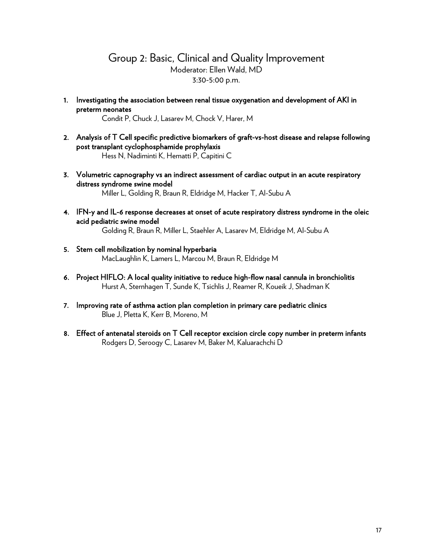# Group 2: Basic, Clinical and Quality Improvement Moderator: Ellen Wald, MD 3:30-5:00 p.m.

1. Investigating the association between renal tissue oxygenation and development of AKI in preterm neonates

Condit P, Chuck J, Lasarev M, Chock V, Harer, M

- 2. Analysis of T Cell specific predictive biomarkers of graft-vs-host disease and relapse following post transplant cyclophosphamide prophylaxis Hess N, Nadiminti K, Hematti P, Capitini C
- 3. Volumetric capnography vs an indirect assessment of cardiac output in an acute respiratory distress syndrome swine model Miller L, Golding R, Braun R, Eldridge M, Hacker T, Al-Subu A
- 4. IFN-y and IL-6 response decreases at onset of acute respiratory distress syndrome in the oleic acid pediatric swine model

Golding R, Braun R, Miller L, Staehler A, Lasarev M, Eldridge M, Al-Subu A

- 5. Stem cell mobilization by nominal hyperbaria MacLaughlin K, Lamers L, Marcou M, Braun R, Eldridge M
- 6. Project HIFLO: A local quality initiative to reduce high-flow nasal cannula in bronchiolitis Hurst A, Sternhagen T, Sunde K, Tsichlis J, Reamer R, Koueik J, Shadman K
- 7. Improving rate of asthma action plan completion in primary care pediatric clinics Blue J, Pletta K, Kerr B, Moreno, M
- 8. Effect of antenatal steroids on T Cell receptor excision circle copy number in preterm infants Rodgers D, Seroogy C, Lasarev M, Baker M, Kaluarachchi D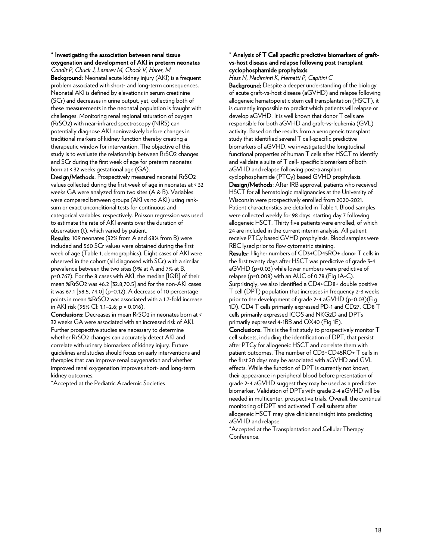#### \* Investigating the association between renal tissue oxygenation and development of AKI in preterm neonates

*Condit P, Chuck J, Lasarev M, Chock V, Harer, M* Background: Neonatal acute kidney injury (AKI) is a frequent problem associated with short- and long-term consequences. Neonatal AKI is defined by elevations in serum creatinine (SCr) and decreases in urine output, yet, collecting both of these measurements in the neonatal population is fraught with challenges. Monitoring renal regional saturation of oxygen (RrSO2) with near-infrared spectroscopy (NIRS) can potentially diagnose AKI noninvasively before changes in traditional markers of kidney function thereby creating a therapeutic window for intervention. The objective of this study is to evaluate the relationship between RrSO2 changes and SCr during the first week of age for preterm neonates born at < 32 weeks gestational age (GA).

Design/Methods: Prospectively measured neonatal RrSO2 values collected during the first week of age in neonates at < 32 weeks GA were analyzed from two sites (A & B). Variables were compared between groups (AKI vs no AKI) using ranksum or exact unconditional tests for continuous and categorical variables, respectively. Poisson regression was used to estimate the rate of AKI events over the duration of observation (t), which varied by patient.

Results: 109 neonates (32% from A and 68% from B) were included and 560 SCr values were obtained during the first week of age (Table 1, demographics). Eight cases of AKI were observed in the cohort (all diagnosed with SCr) with a similar prevalence between the two sites (9% at A and 7% at B, p=0.767). For the 8 cases with AKI, the median [IQR] of their mean %RrSO2 was 46.2 [32.8,70.5] and for the non-AKI cases it was 67.1 [58.5, 74.0] (p=0.12). A decrease of 10 percentage points in mean %RrSO2 was associated with a 1.7-fold increase in AKI risk (95% CI: 1.1–2.6; p = 0.016).

Conclusions: Decreases in mean RrSO2 in neonates born at < 32 weeks GA were associated with an increased risk of AKI. Further prospective studies are necessary to determine whether RrSO2 changes can accurately detect AKI and correlate with urinary biomarkers of kidney injury. Future guidelines and studies should focus on early interventions and therapies that can improve renal oxygenation and whether improved renal oxygenation improves short- and long-term kidney outcomes.

\*Accepted at the Pediatric Academic Societies

#### \* Analysis of T Cell specific predictive biomarkers of graftvs-host disease and relapse following post transplant cyclophosphamide prophylaxis

*Hess N, Nadiminti K, Hematti P, Capitini C* Background: Despite a deeper understanding of the biology of acute graft-vs-host disease (aGVHD) and relapse following allogeneic hematopoietic stem cell transplantation (HSCT), it is currently impossible to predict which patients will relapse or develop aGVHD. It is well known that donor T cells are responsible for both aGVHD and graft-vs-leukemia (GVL) activity. Based on the results from a xenogeneic transplant study that identified several T cell-specific predictive biomarkers of aGVHD, we investigated the longitudinal functional properties of human T cells after HSCT to identify and validate a suite of T cell- specific biomarkers of both aGVHD and relapse following post-transplant cyclophosphamide (PTCy) based GVHD prophylaxis. Design/Methods: After IRB approval, patients who received HSCT for all hematologic malignancies at the University of Wisconsin were prospectively enrolled from 2020-2021. Patient characteristics are detailed in Table 1. Blood samples were collected weekly for 98 days, starting day 7 following allogeneic HSCT. Thirty five patients were enrolled, of which 24 are included in the current interim analysis. All patient receive PTCy based GVHD prophylaxis. Blood samples were RBC lysed prior to flow cytometric staining. Results: Higher numbers of CD3+CD45RO+ donor T cells in the first twenty days after HSCT was predictive of grade 3-4 aGVHD (p=0.03) while lower numbers were predictive of

relapse (p=0.008) with an AUC of 0.78.(Fig 1A-C). Surprisingly, we also identified a CD4+CD8+ double positive T cell (DPT) population that increases in frequency 2-3 weeks prior to the development of grade 2-4 aGVHD (p=0.03)(Fig 1D). CD4 T cells primarily expressed PD-1 and CD27, CD8 T cells primarily expressed ICOS and NKG2D and DPTs primarily expressed 4-1BB and OX40 (Fig 1E).

Conclusions: This is the first study to prospectively monitor T cell subsets, including the identification of DPT, that persist after PTCy for allogeneic HSCT and correlate them with patient outcomes. The number of CD3+CD45RO+ T cells in the first 20 days may be associated with aGVHD and GVL effects. While the function of DPT is currently not known, their appearance in peripheral blood before presentation of grade 2-4 aGVHD suggest they may be used as a predictive biomarker. Validation of DPTs with grade 2-4 aGVHD will be needed in multicenter, prospective trials. Overall, the continual monitoring of DPT and activated T cell subsets after allogeneic HSCT may give clinicians insight into predicting aGVHD and relapse

\*Accepted at the Transplantation and Cellular Therapy Conference.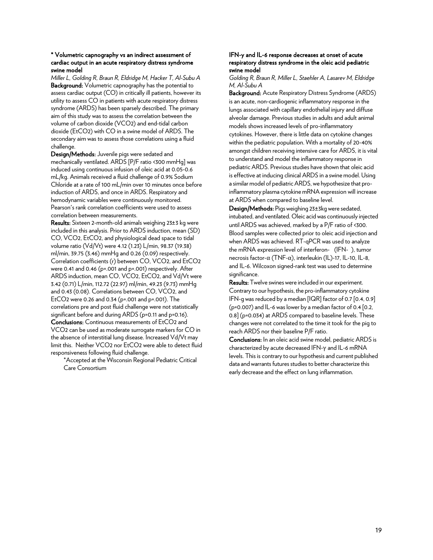#### \* Volumetric capnography vs an indirect assessment of cardiac output in an acute respiratory distress syndrome swine model

*Miller L, Golding R, Braun R, Eldridge M, Hacker T, Al-Subu A* Background: Volumetric capnography has the potential to assess cardiac output (CO) in critically ill patients, however its utility to assess CO in patients with acute respiratory distress syndrome (ARDS) has been sparsely described. The primary aim of this study was to assess the correlation between the volume of carbon dioxide (VCO2) and end-tidal carbon dioxide (EtCO2) with CO in a swine model of ARDS. The secondary aim was to assess those correlations using a fluid challenge.

Design/Methods: Juvenile pigs were sedated and mechanically ventilated. ARDS [P/F ratio <300 mmHg] was induced using continuous infusion of oleic acid at 0.05-0.6 mL/kg. Animals received a fluid challenge of 0.9% Sodium Chloride at a rate of 100 mL/min over 10 minutes once before induction of ARDS, and once in ARDS. Respiratory and hemodynamic variables were continuously monitored. Pearson's rank correlation coefficients were used to assess correlation between measurements.

Results: Sixteen 2-month-old animals weighing 23±3 kg were included in this analysis. Prior to ARDS induction, mean (SD) CO, VCO2, EtCO2, and physiological dead space to tidal volume ratio (Vd/Vt) were 4.12 (1.23) L/min, 98.37 (19.38) ml/min, 39.75 (3.46) mmHg and 0.26 (0.09) respectively. Correlation coefficients (r) between CO, VCO2, and EtCO2 were 0.41 and 0.46 (p=.001 and p=.001) respectively. After ARDS induction, mean CO, VCO2, EtCO2, and Vd/Vt were 3.42 (0.71) L/min, 112.72 (22.97) ml/min, 49.23 (9.73) mmHg and 0.43 (0.08). Correlations between CO, VCO2, and EtCO2 were 0.26 and 0.34 (p=.001 and p=.001). The correlations pre and post fluid challenge were not statistically significant before and during ARDS (p=0.11 and p=0.16). Conclusions: Continuous measurements of EtCO2 and VCO2 can be used as moderate surrogate markers for CO in the absence of interstitial lung disease. Increased Vd/Vt may limit this. Neither VCO2 nor EtCO2 were able to detect fluid responsiveness following fluid challenge.

\*Accepted at the Wisconsin Regional Pediatric Critical Care Consortium

#### IFN-y and IL-6 response decreases at onset of acute respiratory distress syndrome in the oleic acid pediatric swine model

*Golding R, Braun R, Miller L, Staehler A, Lasarev M, Eldridge M, Al-Subu A*

Background: Acute Respiratory Distress Syndrome (ARDS) is an acute, non-cardiogenic inflammatory response in the lungs associated with capillary endothelial injury and diffuse alveolar damage. Previous studies in adults and adult animal models shows increased levels of pro-inflammatory cytokines. However, there is little data on cytokine changes within the pediatric population. With a mortality of 20-40% amongst children receiving intensive care for ARDS, it is vital to understand and model the inflammatory response in pediatric ARDS. Previous studies have shown that oleic acid is effective at inducing clinical ARDS in a swine model. Using a similar model of pediatric ARDS, we hypothesize that proinflammatory plasma cytokine mRNA expression will increase at ARDS when compared to baseline level.

Design/Methods: Pigs weighing 23±3kg were sedated, intubated, and ventilated. Oleic acid was continuously injected untilARDS was achieved, marked by a P/F ratio of <300. Blood samples were collected prior to oleic acid injection and when ARDS was achieved. RT-qPCR was used to analyze the mRNA expression level of interferon- (IFN- ), tumor necrosis factor-α (TNF-α), interleukin (IL)-17, IL-10, IL-8, and IL-6. Wilcoxon signed-rank test was used to determine significance.

Results: Twelve swines were included in our experiment. Contrary to our hypothesis, the pro-inflammatory cytokine IFN-g was reduced by a median [IQR] factor of 0.7 [0.4, 0.9] (p=0.007) and IL-6 was lower by a median factor of 0.4 [0.2, 0.8] (p=0.034) at ARDS compared to baseline levels. These changes were not correlated to the time it took for the pig to reach ARDS nor their baseline P/F ratio.

Conclusions: In an oleic acid swine model, pediatric ARDS is characterized by acute decreased IFN-γ and IL-6 mRNA levels. This is contrary to our hypothesis and current published data and warrants futures studies to better characterize this early decrease and the effect on lung inflammation.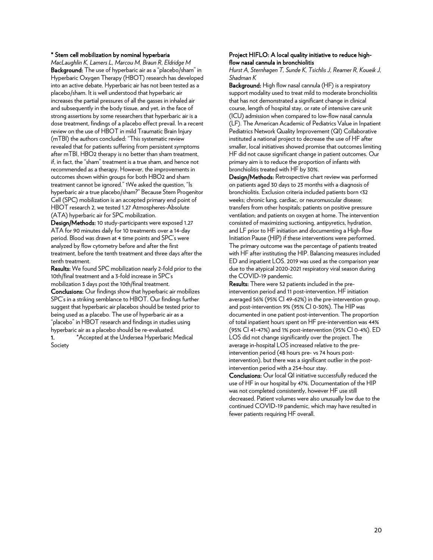#### \* Stem cell mobilization by nominal hyperbaria

*MacLaughlin K, Lamers L, Marcou M, Braun R, Eldridge M* Background: The use of hyperbaric air as a "placebo/sham" in Hyperbaric Oxygen Therapy (HBOT) research has developed into an active debate. Hyperbaric air has not been tested as a placebo/sham. It is well understood that hyperbaric air increases the partial pressures of all the gasses in inhaled air and subsequently in the body tissue, and yet, in the face of strong assertions by some researchers that hyperbaric air is a dose treatment, findings of a placebo effect prevail. In a recent review on the use of HBOT in mild Traumatic Brain Injury (mTBI) the authors concluded: "This systematic review revealed that for patients suffering from persistent symptoms after mTBI, HBO2 therapy is no better than sham treatment, if, in fact, the "sham" treatment is a true sham, and hence not recommended as a therapy. However, the improvements in outcomes shown within groups for both HBO2 and sham treatment cannot be ignored." 1We asked the question, "Is hyperbaric air a true placebo/sham?" Because Stem Progenitor Cell (SPC) mobilization is an accepted primary end point of HBOT research 2, we tested 1.27 Atmospheres-Absolute (ATA) hyperbaric air for SPC mobilization.

Design/Methods: 10 study-participants were exposed 1.27 ATA for 90 minutes daily for 10 treatments over a 14-day period. Blood was drawn at 4 time points and SPC's were analyzed by flow cytometry before and after the first treatment, before the tenth treatment and three days after the tenth treatment.

Results: We found SPC mobilization nearly 2-fold prior to the 10th/final treatment and a 3-fold increase in SPC's mobilization 3 days post the 10th/final treatment. Conclusions: Our findings show that hyperbaric air mobilizes SPC's in a striking semblance to HBOT. Our findings further suggest that hyperbaric air placebos should be tested prior to being used as a placebo. The use of hyperbaric air as a "placebo" in HBOT research and findings in studies using hyperbaric air as a placebo should be re-evaluated. 1. \*Accepted at the Undersea Hyperbaric Medical Society

#### Project HIFLO: A local quality initiative to reduce highflow nasal cannula in bronchiolitis

*Hurst A, Sternhagen T, Sunde K, Tsichlis J, Reamer R, Koueik J, Shadman K* 

Background: High flow nasal cannula (HF) is a respiratory support modality used to treat mild to moderate bronchiolitis that has not demonstrated a significant change in clinical course, length of hospital stay, or rate of intensive care unit (ICU) admission when compared to low-flow nasal cannula (LF). The American Academic of Pediatrics Value in Inpatient Pediatrics Network Quality Improvement (QI) Collaborative instituted a national project to decrease the use of HF after smaller, local initiatives showed promise that outcomes limiting HF did not cause significant change in patient outcomes. Our primary aim is to reduce the proportion of infants with bronchiolitis treated with HF by 30%.

Design/Methods: Retrospective chart review was performed on patients aged 30 days to 23 months with a diagnosis of bronchiolitis. Exclusion criteria included patients born <32 weeks; chronic lung, cardiac, or neuromuscular disease; transfers from other hospitals; patients on positive pressure ventilation; and patients on oxygen at home. The intervention consisted of maximizing suctioning, antipyretics, hydration, and LF prior to HF initiation and documenting a High-flow Initiation Pause (HIP) if these interventions were performed. The primary outcome was the percentage of patients treated with HF after instituting the HIP. Balancing measures included ED and inpatient LOS. 2019 was used as the comparison year due to the atypical 2020-2021 respiratory viral season during the COVID-19 pandemic.

Results: There were 52 patients included in the preintervention period and 11 post-intervention. HF initiation averaged 56% (95% CI 49-62%) in the pre-intervention group, and post-intervention 9% (95% CI 0-30%). The HIP was documented in one patient post-intervention. The proportion of total inpatient hours spent on HF pre-intervention was 44% (95% CI 41-47%) and 1% post-intervention (95% CI 0-4%). ED LOS did not change significantly over the project. The average in-hospital LOS increased relative to the preintervention period (48 hours pre- vs 74 hours postintervention), but there was a significant outlier in the postintervention period with a 254-hour stay.

Conclusions: Our local QI initiative successfully reduced the use of HF in our hospital by 47%. Documentation of the HIP was not completed consistently, however HF use still decreased. Patient volumes were also unusually low due to the continued COVID-19 pandemic, which may have resulted in fewer patients requiring HF overall.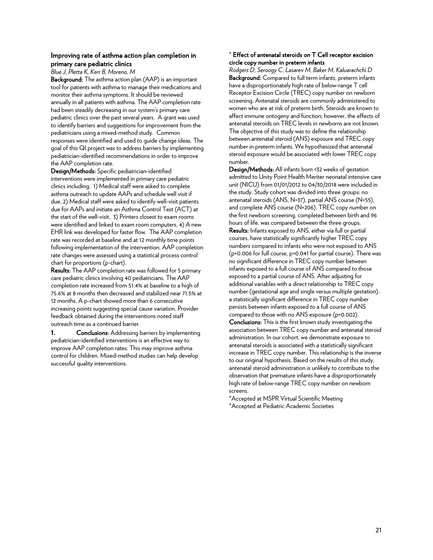#### Improving rate of asthma action plan completion in primary care pediatric clinics

*Blue J, Pletta K, Kerr B, Moreno, M*

Background: The asthma action plan (AAP) is an important tool for patients with asthma to manage their medications and monitor their asthma symptoms. It should be reviewed annually in all patients with asthma. The AAP completion rate had been steadily decreasing in our system's primary care pediatric clinics over the past several years. A grant was used to identify barriers and suggestions for improvement from the pediatricians using a mixed-method study. Common responses were identified and used to guide change ideas. The goal of this QI project was to address barriers by implementing pediatrician-identified recommendations in order to improve the AAP completion rate.

Design/Methods: Specific pediatrician-identified interventions were implemented in primary care pediatric clinics including: 1) Medical staff were asked to complete asthma outreach to update AAPs and schedule well visit if due, 2) Medical staff were asked to identify well-visit patients due for AAPs and initiate an Asthma Control Test (ACT) at the start of the well-visit, 3) Printers closest to exam rooms were identified and linked to exam room computers, 4) A new EHR link was developed for faster flow. The AAP completion rate was recorded at baseline and at 12 monthly time points following implementation of the intervention. AAP completion rate changes were assessed using a statistical process control chart for proportions (p-chart).

Results: The AAP completion rate was followed for 5 primary care pediatric clinics involving 40 pediatricians. The AAP completion rate increased from 51.4% at baseline to a high of 75.6% at 8 months then decreased and stabilized near 71.5% at 12 months. A p-chart showed more than 6 consecutive increasing points suggesting special cause variation. Provider feedback obtained during the interventions noted staff outreach time as a continued barrier.

1. Conclusions: Addressing barriers by implementing pediatrician-identified interventions is an effective way to improve AAP completion rates. This may improve asthma control for children. Mixed-method studies can help develop successful quality interventions.

#### \* Effect of antenatal steroids on T Cell receptor excision circle copy number in preterm infants

*Rodgers D, Seroogy C, Lasarev M, Baker M, Kaluarachchi D* Background: Compared to full term infants, preterm infants have a disproportionately high rate of below-range T cell Receptor Excision Circle (TREC) copy number on newborn screening. Antenatal steroids are commonly administered to women who are at risk of preterm birth. Steroids are known to affect immune ontogeny and function; however, the effects of antenatal steroids on TREC levels in newborns are not known. The objective of this study was to define the relationship between antenatal steroid (ANS) exposure and TREC copy number in preterm infants. We hypothesized that antenatal steroid exposure would be associated with lower TREC copy number.

Design/Methods: All infants born <32 weeks of gestation admitted to Unity Point Health Meriter neonatal intensive care unit (NICU) from 01/01/2012 to 04/30/2018 were included in the study. Study cohort was divided into three groups: no antenatal steroids (ANS, N=37), partial ANS course (N=55), and complete ANS course (N=206). TREC copy number on the first newborn screening, completed between birth and 96 hours of life, was compared between the three groups. Results: Infants exposed to ANS, either via full or partial courses, have statistically significantly higher TREC copy numbers compared to infants who were not exposed to ANS (p=0.006 for full course, p=0.041 for partial course). There was no significant difference in TREC copy number between infants exposed to a full course of ANS compared to those exposed to a partial course of ANS. After adjusting for additional variables with a direct relationship to TREC copy number (gestational age and single versus multiple gestation), a statistically significant difference in TREC copy number persists between infants exposed to a full course of ANS compared to those with no ANS exposure (p=0.002).

Conclusions: This is the first known study investigating the association between TREC copy number and antenatal steroid administration. In our cohort, we demonstrate exposure to antenatal steroids is associated with a statistically significant increase in TREC copy number. This relationship is the inverse to our original hypothesis. Based on the results of this study, antenatal steroid administration is unlikely to contribute to the observation that premature infants have a disproportionately high rate of below-range TREC copy number on newborn screens.

\*Accepted at MSPR Virtual Scientific Meeting \*Accepted at Pediatric Academic Societies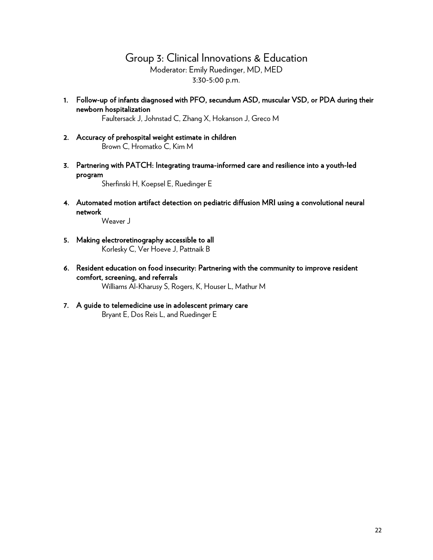# Group 3: Clinical Innovations & Education Moderator: Emily Ruedinger, MD, MED 3:30-5:00 p.m.

1. Follow-up of infants diagnosed with PFO, secundum ASD, muscular VSD, or PDA during their newborn hospitalization

Faultersack J, Johnstad C, Zhang X, Hokanson J, Greco M

- 2. Accuracy of prehospital weight estimate in children Brown C, Hromatko C, Kim M
- 3. Partnering with PATCH: Integrating trauma-informed care and resilience into a youth-led program

Sherfinski H, Koepsel E, Ruedinger E

4. Automated motion artifact detection on pediatric diffusion MRI using a convolutional neural network

Weaver J

- 5. Making electroretinography accessible to all Korlesky C, Ver Hoeve J, Pattnaik B
- 6. Resident education on food insecurity: Partnering with the community to improve resident comfort, screening, and referrals Williams Al-Kharusy S, Rogers, K, Houser L, Mathur M

#### 7. A guide to telemedicine use in adolescent primary care Bryant E, Dos Reis L, and Ruedinger E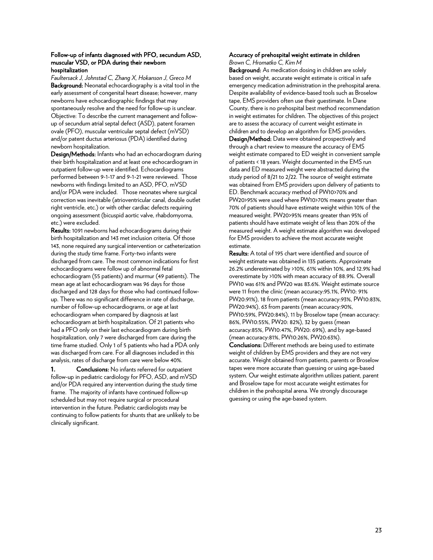#### Follow-up of infants diagnosed with PFO, secundum ASD, muscular VSD, or PDA during their newborn hospitalization

*Faultersack J, Johnstad C, Zhang X, Hokanson J, Greco M* Background: Neonatal echocardiography is a vital tool in the early assessment of congenital heart disease; however, many newborns have echocardiographic findings that may spontaneously resolve and the need for follow-up is unclear. Objective: To describe the current management and followup of secundum atrial septal defect (ASD), patent foramen ovale (PFO), muscular ventricular septal defect (mVSD) and/or patent ductus arteriosus (PDA) identified during newborn hospitalization.

Design/Methods: Infants who had an echocardiogram during their birth hospitalization and at least one echocardiogram in outpatient follow-up were identified. Echocardiograms performed between 9-1-17 and 9-1-21 were reviewed. Those newborns with findings limited to an ASD, PFO, mVSD and/or PDA were included. Those neonates where surgical correction was inevitable (atrioventricular canal, double outlet right ventricle, etc.) or with other cardiac defects requiring ongoing assessment (bicuspid aortic valve, rhabdomyoma, etc.) were excluded.

Results: 1091 newborns had echocardiograms during their birth hospitalization and 143 met inclusion criteria. Of those 143, none required any surgical intervention or catheterization during the study time frame. Forty-two infants were discharged from care. The most common indications for first echocardiograms were follow up of abnormal fetal echocardiogram (55 patients) and murmur (49 patients). The mean age at last echocardiogram was 96 days for those discharged and 128 days for those who had continued followup. There was no significant difference in rate of discharge, number of follow-up echocardiograms, or age at last echocardiogram when compared by diagnosis at last echocardiogram at birth hospitalization. Of 21 patients who had a PFO only on their last echocardiogram during birth hospitalization, only 7 were discharged from care during the time frame studied. Only 1 of 5 patients who had a PDA only was discharged from care. For all diagnoses included in this analysis, rates of discharge from care were below 40%.

1. Conclusions: No infants referred for outpatient follow-up in pediatric cardiology for PFO, ASD, and mVSD and/or PDA required any intervention during the study time frame. The majority of infants have continued follow-up scheduled but may not require surgical or procedural intervention in the future. Pediatric cardiologists may be continuing to follow patients for shunts that are unlikely to be clinically significant.

#### Accuracy of prehospital weight estimate in children *Brown C, Hromatko C, Kim M*

Background: As medication dosing in children are solely based on weight, accurate weight estimate is critical in safe emergency medication administration in the prehospital arena. Despite availability of evidence-based tools such as Broselow tape, EMS providers often use their guestimate. In Dane County, there is no prehospital best method recommendation in weight estimates for children. The objectives of this project are to assess the accuracy of current weight estimate in children and to develop an algorithm for EMS providers. Design/Method: Data were obtained prospectively and through a chart review to measure the accuracy of EMS weight estimate compared to ED weight in convenient sample of patients < 18 years. Weight documented in the EMS run data and ED measured weight were abstracted during the study period of 8/21 to 2/22. The source of weight estimate was obtained from EMS providers upon delivery of patients to ED. Benchmark accuracy method of PW10>70% and PW20>95% were used where PW10>70% means greater than 70% of patients should have estimate weight within 10% of the measured weight. PW20>95% means greater than 95% of patients should have estimate weight of less than 20% of the measured weight. A weight estimate algorithm was developed for EMS providers to achieve the most accurate weight estimate.

Results: A total of 195 chart were identified and source of weight estimate was obtained in 135 patients. Approximate 26.2% underestimated by >10%, 61% within 10%, and 12.9% had overestimate by >10% with mean accuracy of 88.9%. Overall PW10 was 61% and PW20 was 83.6%. Weight estimate source were 11 from the clinic (mean accuracy:95.1%, PW10: 91% PW20:91%), 18 from patients (mean accuracy:93%, PW10:83%, PW20:94%), 63 from parents (mean accuracy:90%, PW10:59%, PW20:84%), 11 by Broselow tape (mean accuracy: 86%, PW10:55%, PW20: 82%), 32 by guess (mean accuracy:85%, PW10:47%, PW20: 69%), and by age-based (mean accuracy:81%, PW10:26%, PW20:63%).

Conclusions: Different methods are being used to estimate weight of children by EMS providers and they are not very accurate. Weight obtained from patients, parents or Broselow tapes were more accurate than guessing or using age-based system. Our weight estimate algorithm utilizes patient, parent and Broselow tape for most accurate weight estimates for children in the prehospital arena. We strongly discourage guessing or using the age-based system.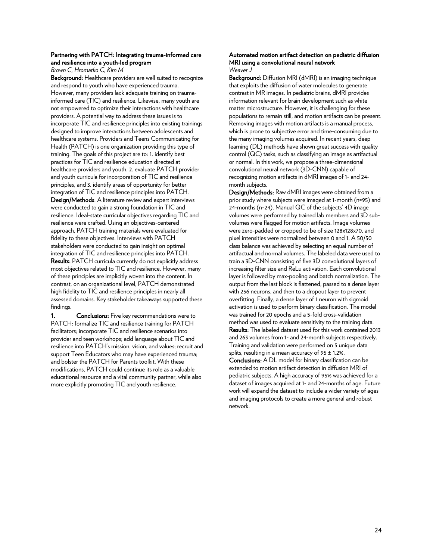#### Partnering with PATCH: Integrating trauma-informed care and resilience into a youth-led program

*Brown C, Hromatko C, Kim M*

Background: Healthcare providers are well suited to recognize and respond to youth who have experienced trauma. However, many providers lack adequate training on traumainformed care (TIC) and resilience. Likewise, many youth are not empowered to optimize their interactions with healthcare providers. A potential way to address these issues is to incorporate TIC and resilience principles into existing trainings designed to improve interactions between adolescents and healthcare systems. Providers and Teens Communicating for Health (PATCH) is one organization providing this type of training. The goals of this project are to: 1. identify best practices for TIC and resilience education directed at healthcare providers and youth, 2. evaluate PATCH provider and youth curricula for incorporation of TIC and resilience principles, and 3. identify areas of opportunity for better integration of TIC and resilience principles into PATCH. Design/Methods: A literature review and expert interviews were conducted to gain a strong foundation in TIC and resilience. Ideal-state curricular objectives regarding TIC and resilience were crafted. Using an objectives-centered approach, PATCH training materials were evaluated for fidelity to these objectives. Interviews with PATCH stakeholders were conducted to gain insight on optimal integration of TIC and resilience principles into PATCH. Results: PATCH curricula currently do not explicitly address most objectives related to TIC and resilience. However, many of these principles are implicitly woven into the content. In contrast, on an organizational level, PATCH demonstrated high fidelity to TIC and resilience principles in nearly all assessed domains. Key stakeholder takeaways supported these findings.

1. Conclusions: Five key recommendations were to PATCH: formalize TIC and resilience training for PATCH facilitators; incorporate TIC and resilience scenarios into provider and teen workshops; add language about TIC and resilience into PATCH's mission, vision, and values; recruit and support Teen Educators who may have experienced trauma; and bolster the PATCH for Parents toolkit. With these modifications, PATCH could continue its role as a valuable educational resource and a vital community partner, while also more explicitly promoting TIC and youth resilience.

#### Automated motion artifact detection on pediatric diffusion MRI using a convolutional neural network *Weaver J*

Background: Diffusion MRI (dMRI) is an imaging technique that exploits the diffusion of water molecules to generate contrast in MR images. In pediatric brains, dMRI provides information relevant for brain development such as white matter microstructure. However, it is challenging for these populations to remain still, and motion artifacts can be present. Removing images with motion artifacts is a manual process, which is prone to subjective error and time-consuming due to the many imaging volumes acquired. In recent years, deep learning (DL) methods have shown great success with quality control (QC) tasks, such as classifying an image as artifactual or normal. In this work, we propose a three-dimensional convolutional neural network (3D-CNN) capable of recognizing motion artifacts in dMRI images of 1- and 24 month subjects.

Design/Methods: Raw dMRI images were obtained from a prior study where subjects were imaged at 1-month (n=95) and 24-months (n=24). Manual QC of the subjects' 4D image volumes were performed by trained lab members and 3D subvolumes were flagged for motion artifacts. Image volumes were zero-padded or cropped to be of size 128x128x70, and pixel intensities were normalized between 0 and 1. A 50/50 class balance was achieved by selecting an equal number of artifactual and normal volumes. The labeled data were used to train a 3D-CNN consisting of five 3D convolutional layers of increasing filter size and ReLu activation. Each convolutional layer is followed by max-pooling and batch normalization. The output from the last block is flattened, passed to a dense layer with 256 neurons, and then to a dropout layer to prevent overfitting. Finally, a dense layer of 1 neuron with sigmoid activation is used to perform binary classification. The model was trained for 20 epochs and a 5-fold cross-validation method was used to evaluate sensitivity to the training data. Results: The labeled dataset used for this work contained 2013 and 263 volumes from 1- and 24-month subjects respectively. Training and validation were performed on 5 unique data splits, resulting in a mean accuracy of  $95 \pm 1.2$ %.

Conclusions: A DL model for binary classification can be extended to motion artifact detection in diffusion MRI of pediatric subjects. A high accuracy of 95% was achieved for a dataset of images acquired at 1- and 24-months of age. Future work will expand the dataset to include a wider variety of ages and imaging protocols to create a more general and robust network.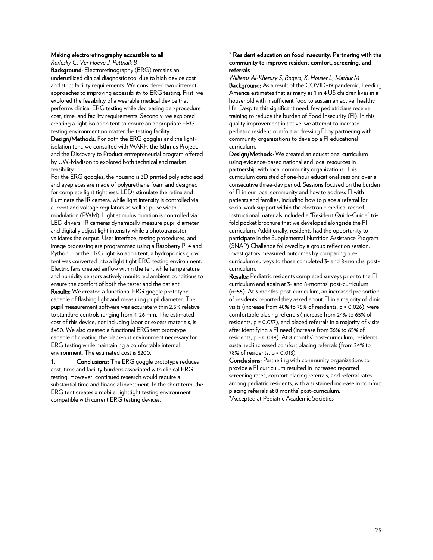#### Making electroretinography accessible to all

*Korlesky C, Ver Hoeve J, Pattnaik B*

Background: Electroretinography (ERG) remains an underutilized clinical diagnostic tool due to high device cost and strict facility requirements. We considered two different approaches to improving accessibility to ERG testing. First, we explored the feasibility of a wearable medical device that performs clinical ERG testing while decreasing per-procedure cost, time, and facility requirements. Secondly, we explored creating a light isolation tent to ensure an appropriate ERG testing environment no matter the testing facility.

Design/Methods: For both the ERG goggles and the lightisolation tent, we consulted with WARF, the Isthmus Project, and the Discovery to Product entrepreneurial program offered by UW-Madison to explored both technical and market feasibility.

For the ERG goggles, the housing is 3D printed polylactic acid and eyepieces are made of polyurethane foam and designed for complete light tightness. LEDs stimulate the retina and illuminate the IR camera, while light intensity is controlled via current and voltage regulators as well as pulse width modulation (PWM). Light stimulus duration is controlled via LED drivers. IR cameras dynamically measure pupil diameter and digitally adjust light intensity while a phototransistor validates the output. User interface, testing procedures, and image processing are programmed using a Raspberry Pi 4 and Python. For the ERG light isolation tent, a hydroponics grow tent was converted into a light tight ERG testing environment. Electric fans created airflow within the tent while temperature and humidity sensors actively monitored ambient conditions to ensure the comfort of both the tester and the patient. Results: We created a functional ERG goggle prototype capable of flashing light and measuring pupil diameter. The pupil measurement software was accurate within 2.5% relative to standard controls ranging from 4-26 mm. The estimated cost of this device, not including labor or excess materials, is \$450. We also created a functional ERG tent prototype capable of creating the black-out environment necessary for ERG testing while maintaining a comfortable internal environment. The estimated cost is \$200.

1. Conclusions: The ERG goggle prototype reduces cost, time and facility burdens associated with clinical ERG testing. However, continued research would require a substantial time and financial investment. In the short term, the ERG tent creates a mobile, lighttight testing environment compatible with current ERG testing devices.

#### \* Resident education on food insecurity: Partnering with the community to improve resident comfort, screening, and referrals

*Williams Al-Kharusy S, Rogers, K, Houser L, Mathur M* Background: As a result of the COVID-19 pandemic, Feeding America estimates that as many as 1 in 4 US children lives in a household with insufficient food to sustain an active, healthy life. Despite this significant need, few pediatricians receive training to reduce the burden of Food Insecurity (FI). In this quality improvement initiative, we attempt to increase pediatric resident comfort addressing FI by partnering with community organizations to develop a FI educational curriculum.

Design/Methods: We created an educational curriculum using evidence-based national and local resources in partnership with local community organizations. This curriculum consisted of one-hour educational sessions over a consecutive three-day period. Sessions focused on the burden of FI in our local community and how to address FI with patients and families, including how to place a referral for social work support within the electronic medical record. Instructional materials included a "Resident Quick-Guide" trifold pocket brochure that we developed alongside the FI curriculum. Additionally, residents had the opportunity to participate in the Supplemental Nutrition Assistance Program (SNAP) Challenge followed by a group reflection session. Investigators measured outcomes by comparing precurriculum surveys to those completed 3- and 8-months' postcurriculum.

Results: Pediatric residents completed surveys prior to the FI curriculum and again at 3- and 8-months' post-curriculum (n=55). At 3 months' post-curriculum, an increased proportion of residents reported they asked about FI in a majority of clinic visits (increase from 48% to 75% of residents, p = 0.026), were comfortable placing referrals (increase from 24% to 65% of residents, p = 0.037), and placed referrals in a majority of visits after identifying a FI need (increase from 36% to 65% of residents, p = 0.049). At 8 months' post-curriculum, residents sustained increased comfort placing referrals (from 24% to 78% of residents, p = 0.013).

Conclusions: Partnering with community organizations to provide a FI curriculum resulted in increased reported screening rates, comfort placing referrals, and referral rates among pediatric residents, with a sustained increase in comfort placing referrals at 8 months' post-curriculum. \*Accepted at Pediatric Academic Societies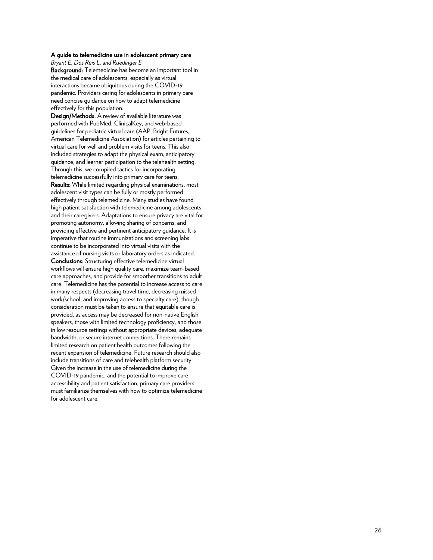#### A guide to telemedicine use in adolescent primary care

*Bryant E, Dos Reis L, and Ruedinger E*

Background: Telemedicine has become an important tool in the medical care of adolescents, especially as virtual interactions became ubiquitous during the COVID -19 pandemic. Providers caring for adolescents in primary care need concise guidance on how to adapt telemedicine effectively for this population.

Design/Methods: A review of available literature was performed with PubMed, ClinicalKey, and web -based guidelines for pediatric virtual care (AAP, Bright Futures, American Telemedicine Association) for articles pertaining to virtual care for well and problem visits for teens. This also included strategies to adapt the physical exam, anticipatory guidance, and learner participation to the telehealth setting. Through this, we compiled tactics for incorporating telemedicine successfully into primary care for teens. Results: While limited regarding physical examinations, most adolescent visit types can be fully or mostly performed effectively through telemedicine. Many studies have found high patient satisfaction with telemedicine among adolescents and their caregivers. Adaptations to ensure privacy are vital for promoting autonomy, allowing sharing of concerns, and providing effective and pertinent anticipatory guidance. It is imperative that routine immunizations and screening labs continue to be incorporated into virtual visits with the assistance of nursing visits or laboratory orders as indicated. Conclusions: Structuring effective telemedicine virtual workflows will ensure high quality care, maximize team -based care approaches, and provide for smoother transitions to adult care. Telemedicine has the potential to increase access to care in many respects (decreasing travel time, decreasing missed work/school, and improving access to specialty care), though consideration must be taken to ensure that equitable care is provided, as access may be decreased for non -native English speakers, those with limited technology proficiency, and those in low resource settings without appropriate devices, adequate bandwidth, or secure internet connections. There remains limited research on patient health outcomes following the recent expansion of telemedicine. Future research should also include transitions of care and telehealth platform security. Given the increase in the use of telemedicine during the COVID -19 pandemic, and the potential to improve care accessibility and patient satisfaction, primary care providers must familiarize themselves with how to optimize telemedicine for adolescent care.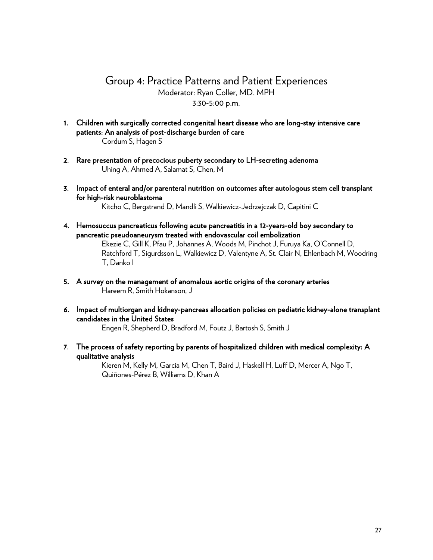# Group 4: Practice Patterns and Patient Experiences Moderator: Ryan Coller, MD. MPH 3:30-5:00 p.m.

- 1. Children with surgically corrected congenital heart disease who are long-stay intensive care patients: An analysis of post-discharge burden of care Cordum S, Hagen S
- 2. Rare presentation of precocious puberty secondary to LH-secreting adenoma Uhing A, Ahmed A, Salamat S, Chen, M
- 3. Impact of enteral and/or parenteral nutrition on outcomes after autologous stem cell transplant for high-risk neuroblastoma

Kitcho C, Bergstrand D, Mandli S, Walkiewicz-Jedrzejczak D, Capitini C

- 4. Hemosuccus pancreaticus following acute pancreatitis in a 12-years-old boy secondary to pancreatic pseudoaneurysm treated with endovascular coil embolization Ekezie C, Gill K, Pfau P, Johannes A, Woods M, Pinchot J, Furuya Ka, O'Connell D, Ratchford T, Sigurdsson L, Walkiewicz D, Valentyne A, St. Clair N, Ehlenbach M, Woodring T, Danko I
- 5. A survey on the management of anomalous aortic origins of the coronary arteries Hareem R, Smith Hokanson, J
- 6. Impact of multiorgan and kidney-pancreas allocation policies on pediatric kidney-alone transplant candidates in the United States

Engen R, Shepherd D, Bradford M, Foutz J, Bartosh S, Smith J

7. The process of safety reporting by parents of hospitalized children with medical complexity: A qualitative analysis

> Kieren M, Kelly M, Garcia M, Chen T, Baird J, Haskell H, Luff D, Mercer A, Ngo T, Quiñones-Pérez B, Williams D, Khan A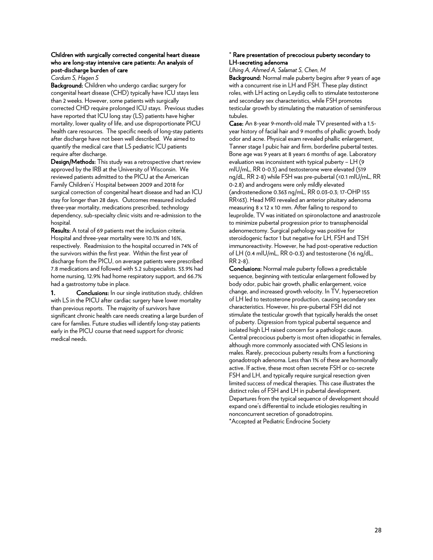#### Children with surgically corrected congenital heart disease who are long-stay intensive care patients: An analysis of post-discharge burden of care

*Cordum S, Hagen S*

Background: Children who undergo cardiac surgery for congenital heart disease (CHD) typically have ICU stays less than 2 weeks. However, some patients with surgically corrected CHD require prolonged ICU stays. Previous studies have reported that ICU long stay (LS) patients have higher mortality, lower quality of life, and use disproportionate PICU health care resources. The specific needs of long-stay patients after discharge have not been well described. We aimed to quantify the medical care that LS pediatric ICU patients require after discharge.

Design/Methods: This study was a retrospective chart review approved by the IRB at the University of Wisconsin. We reviewed patients admitted to the PICU at the American Family Children's' Hospital between 2009 and 2018 for surgical correction of congenital heart disease and had an ICU stay for longer than 28 days. Outcomes measured included three-year mortality, medications prescribed, technology dependency, sub-specialty clinic visits and re-admission to the hospital.

Results: A total of 69 patients met the inclusion criteria. Hospital and three-year mortality were 10.1% and 16%, respectively. Readmission to the hospital occurred in 74% of the survivors within the first year. Within the first year of discharge from the PICU, on average patients were prescribed 7.8 medications and followed with 5.2 subspecialists. 53.9% had home nursing, 12.9% had home respiratory support, and 66.7% had a gastrostomy tube in place.

1. Conclusions: In our single institution study, children with LS in the PICU after cardiac surgery have lower mortality than previous reports. The majority of survivors have significant chronic health care needs creating a large burden of care for families. Future studies will identify long-stay patients early in the PICU course that need support for chronic medical needs.

#### \* Rare presentation of precocious puberty secondary to LH-secreting adenoma

*Uhing A, Ahmed A, Salamat S, Chen, M*

Background: Normal male puberty begins after 9 years of age with a concurrent rise in LH and FSH. These play distinct roles, with LH acting on Leydig cells to stimulate testosterone and secondary sex characteristics, while FSH promotes testicular growth by stimulating the maturation of seminiferous tubules.

Case: An 8-year 9-month-old male TV presented with a 1.5 year history of facial hair and 9 months of phallic growth, body odor and acne. Physical exam revealed phallic enlargement, Tanner stage I pubic hair and firm, borderline pubertal testes. Bone age was 9 years at 8 years 6 months of age. Laboratory evaluation was inconsistent with typical puberty – LH (9 mIU/mL, RR 0-0.3) and testosterone were elevated (519 ng/dL, RR 2-8) while FSH was pre-pubertal (<0.1 mIU/mL, RR 0-2.8) and androgens were only mildly elevated (androstenedione 0.363 ng/mL, RR 0.03-0.3; 17-OHP 155 RR<63). Head MRI revealed an anterior pituitary adenoma measuring 8 x 12 x 10 mm. After failing to respond to leuprolide, TV was initiated on spironolactone and anastrozole to minimize pubertal progression prior to transsphenoidal adenomectomy. Surgical pathology was positive for steroidogenic factor 1 but negative for LH, FSH and TSH immunoreactivity. However, he had post-operative reduction of LH (0.4 mIU/mL, RR 0-0.3) and testosterone (16 ng/dL, RR 2-8).

Conclusions: Normal male puberty follows a predictable sequence, beginning with testicular enlargement followed by body odor, pubic hair growth, phallic enlargement, voice change, and increased growth velocity. In TV, hypersecretion of LH led to testosterone production, causing secondary sex characteristics. However, his pre-pubertal FSH did not stimulate the testicular growth that typically heralds the onset of puberty. Digression from typical pubertal sequence and isolated high LH raised concern for a pathologic cause. Central precocious puberty is most often idiopathic in females, although more commonly associated with CNS lesions in males. Rarely, precocious puberty results from a functioning gonadotroph adenoma. Less than 1% of these are hormonally active. If active, these most often secrete FSH or co-secrete FSH and LH, and typically require surgical resection given limited success of medical therapies. This case illustrates the distinct roles of FSH and LH in pubertal development. Departures from the typical sequence of development should expand one's differential to include etiologies resulting in nonconcurrent secretion of gonadotropins. \*Accepted at Pediatric Endrocine Society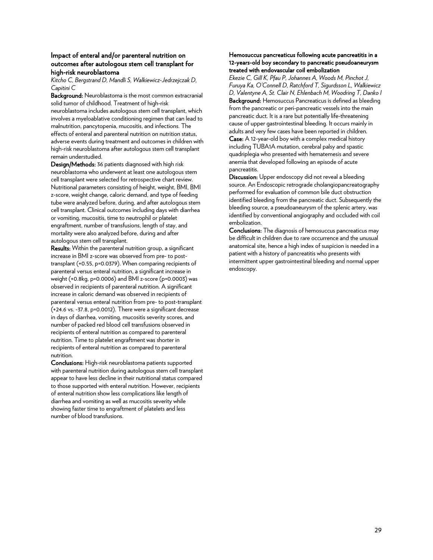#### Impact of enteral and/or parenteral nutrition on outcomes after autologous stem cell transplant for high-risk neuroblastoma

*Kitcho C, Bergstrand D, Mandli S, Walkiewicz-Jedrzejczak D, Capitini C*

Background: Neuroblastoma is the most common extracranial solid tumor of childhood. Treatment of high-risk neuroblastoma includes autologous stem cell transplant, which involves a myeloablative conditioning regimen that can lead to malnutrition, pancytopenia, mucositis, and infections. The effects of enteral and parenteral nutrition on nutrition status, adverse events during treatment and outcomes in children with high-risk neuroblastoma after autologous stem cell transplant remain understudied.

Design/Methods: 36 patients diagnosed with high risk neuroblastoma who underwent at least one autologous stem cell transplant were selected for retrospective chart review. Nutritional parameters consisting of height, weight, BMI, BMI z-score, weight change, caloric demand, and type of feeding tube were analyzed before, during, and after autologous stem cell transplant. Clinical outcomes including days with diarrhea or vomiting, mucositis, time to neutrophil or platelet engraftment, number of transfusions, length of stay, and mortality were also analyzed before, during and after autologous stem cell transplant.

Results: Within the parenteral nutrition group, a significant increase in BMI z-score was observed from pre- to posttransplant (+0.55, p=0.0379). When comparing recipients of parenteral versus enteral nutrition, a significant increase in weight (+0.8kg, p=0.0006) and BMI z-score (p=0.0003) was observed in recipients of parenteral nutrition. A significant increase in caloric demand was observed in recipients of parenteral versus enteral nutrition from pre- to post-transplant (+24.6 vs. -37.8, p=0.0012). There were a significant decrease in days of diarrhea, vomiting, mucositis severity scores, and number of packed red blood cell transfusions observed in recipients of enteral nutrition as compared to parenteral nutrition. Time to platelet engraftment was shorter in recipients of enteral nutrition as compared to parenteral nutrition.

Conclusions: High-risk neuroblastoma patients supported with parenteral nutrition during autologous stem cell transplant appear to have less decline in their nutritional status compared to those supported with enteral nutrition. However, recipients of enteral nutrition show less complications like length of diarrhea and vomiting as well as mucositis severity while showing faster time to engraftment of platelets and less number of blood transfusions.

#### Hemosuccus pancreaticus following acute pancreatitis in a 12-years-old boy secondary to pancreatic pseudoaneurysm treated with endovascular coil embolization

*Ekezie C, Gill K, Pfau P, Johannes A, Woods M, Pinchot J, Furuya Ka, O'Connell D, Ratchford T, Sigurdsson L, Walkiewicz D, Valentyne A, St. Clair N, Ehlenbach M, Woodring T, Danko I* Background: Hemosuccus Pancreaticus is defined as bleeding from the pancreatic or peri-pancreatic vessels into the main pancreatic duct. It is a rare but potentially life-threatening cause of upper gastrointestinal bleeding. It occurs mainly in adults and very few cases have been reported in children. Case: A 12-year-old boy with a complex medical history including TUBA1A mutation, cerebral palsy and spastic quadriplegia who presented with hematemesis and severe anemia that developed following an episode of acute pancreatitis.

Discussion: Upper endoscopy did not reveal a bleeding source. An Endoscopic retrograde cholangiopancreatography performed for evaluation of common bile duct obstruction identified bleeding from the pancreatic duct. Subsequently the bleeding source, a pseudoaneurysm of the splenic artery, was identified by conventional angiography and occluded with coil embolization.

Conclusions: The diagnosis of hemosuccus pancreaticus may be difficult in children due to rare occurrence and the unusual anatomical site, hence a high index of suspicion is needed in a patient with a history of pancreatitis who presents with intermittent upper gastrointestinal bleeding and normal upper endoscopy.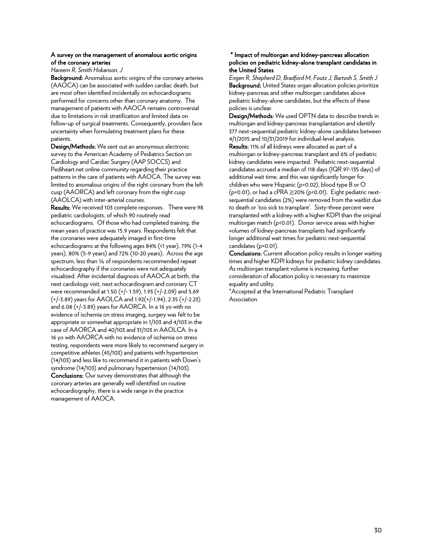#### A survey on the management of anomalous aortic origins of the coronary arteries

*Hareem R, Smith Hokanson, J*

Background: Anomalous aortic origins of the coronary arteries (AAOCA) can be associated with sudden cardiac death, but are most often identified incidentally on echocardiograms performed for concerns other than coronary anatomy. The management of patients with AAOCA remains controversial due to limitations in risk stratification and limited data on follow-up of surgical treatments. Consequently, providers face uncertainty when formulating treatment plans for these patients.

Design/Methods: We sent out an anonymous electronic survey to the American Academy of Pediatrics Section on Cardiology and Cardiac Surgery (AAP SOCCS) and Pediheart.net online community regarding their practice patterns in the care of patients with AAOCA. The survey was limited to anomalous origins of the right coronary from the left cusp (AAORCA) and left coronary from the right cusp (AAOLCA) with inter-arterial courses.

Results: We received 103 complete responses. There were 98 pediatric cardiologists, of which 90 routinely read echocardiograms. Of those who had completed training, the mean years of practice was 15.9 years. Respondents felt that the coronaries were adequately imaged in first-time echocardiograms at the following ages 84% (<1 year), 79% (1-4 years), 80% (5-9 years) and 72% (10-20 years). Across the age spectrum, less than ¼ of respondents recommended repeat echocardiography if the coronaries were not adequately visualized. After incidental diagnosis of AAOCA at birth, the next cardiology visit, next echocardiogram and coronary CT were recommended at 1.50 (+/- 1.59), 1.93 (+/-2.09) and 5.69 (+/-3.89) years for AAOLCA and 1.92(+/-1.94), 2.35 (+/-2.23) and 6.08 (+/-3.89) years for AAORCA. In a 16 yo with no evidence of ischemia on stress imaging, surgery was felt to be appropriate or somewhat appropriate in 1/103 and 4/103 in the case of AAORCA and 40/103 and 31/103 in AAOLCA. In a 16 yo with AAORCA with no evidence of ischemia on stress testing, respondents were more likely to recommend surgery in competitive athletes (45/103) and patients with hypertension (14/103) and less like to recommend it in patients with Down's syndrome (14/103) and pulmonary hypertension (14/103). Conclusions: Our survey demonstrates that although the coronary arteries are generally well identified on routine echocardiography, there is a wide range in the practice management of AAOCA.

#### \* Impact of multiorgan and kidney-pancreas allocation policies on pediatric kidney-alone transplant candidates in the United States

*Engen R, Shepherd D, Bradford M, Foutz J, Bartosh S, Smith J* Background: United States organ allocation policies prioritize kidney-pancreas and other multiorgan candidates above pediatric kidney-alone candidates, but the effects of these policies is unclear.

Design/Methods: We used OPTN data to describe trends in multiorgan and kidney-pancreas transplantation and identify 377 next-sequential pediatric kidney-alone candidates between 4/1/2015 and 10/31/2019 for individual-level analysis.

Results: 11% of all kidneys were allocated as part of a multiorgan or kidney-pancreas transplant and 6% of pediatric kidney candidates were impacted. Pediatric next-sequential candidates accrued a median of 118 days (IQR 97-135 days) of additional wait time, and this was significantly longer for children who were Hispanic (p=0.02), blood type B or O (p=0.01), or had a cPRA  $\geq$ 20% (p<0.01). Eight pediatric nextsequential candidates (2%) were removed from the waitlist due to death or 'too sick to transplant'. Sixty-three percent were transplanted with a kidney with a higher KDPI than the original multiorgan match (p<0.01). Donor service areas with higher volumes of kidney-pancreas transplants had significantly longer additional wait times for pediatric next-sequential candidates (p=0.01).

Conclusions: Current allocation policy results in longer waiting times and higher KDPI kidneys for pediatric kidney candidates. As multiorgan transplant volume is increasing, further consideration of allocation policy is necessary to maximize equality and utility.

\*Accepted at the International Pediatric Transplant Association